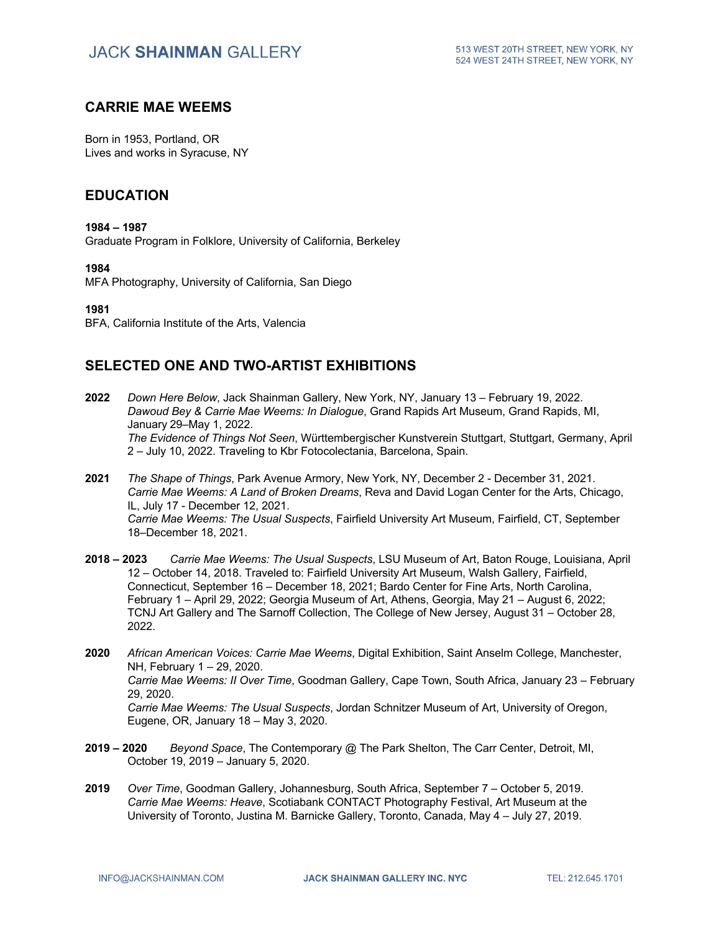## **CARRIE MAE WEEMS**

Born in 1953, Portland, OR Lives and works in Syracuse, NY

#### **EDUCATION**

#### **1984 – 1987**

Graduate Program in Folklore, University of California, Berkeley

#### **1984**

MFA Photography, University of California, San Diego

**1981**

BFA, California Institute of the Arts, Valencia

## **SELECTED ONE AND TWO-ARTIST EXHIBITIONS**

- **2022** *Down Here Below*, Jack Shainman Gallery, New York, NY, January 13 February 19, 2022. *Dawoud Bey & Carrie Mae Weems: In Dialogue*, Grand Rapids Art Museum, Grand Rapids, MI, January 29–May 1, 2022. *The Evidence of Things Not Seen*, Württembergischer Kunstverein Stuttgart, Stuttgart, Germany, April 2 – July 10, 2022. Traveling to Kbr Fotocolectania, Barcelona, Spain.
- **2021** *The Shape of Things*, Park Avenue Armory, New York, NY, December 2 December 31, 2021. *Carrie Mae Weems: A Land of Broken Dreams*, Reva and David Logan Center for the Arts, Chicago, IL, July 17 - December 12, 2021. *Carrie Mae Weems: The Usual Suspects*, Fairfield University Art Museum, Fairfield, CT, September 18–December 18, 2021.
- **2018 – 2023** *Carrie Mae Weems: The Usual Suspects*, LSU Museum of Art, Baton Rouge, Louisiana, April 12 – October 14, 2018. Traveled to: Fairfield University Art Museum, Walsh Gallery, Fairfield, Connecticut, September 16 – December 18, 2021; Bardo Center for Fine Arts, North Carolina, February 1 – April 29, 2022; Georgia Museum of Art, Athens, Georgia, May 21 – August 6, 2022; TCNJ Art Gallery and The Sarnoff Collection, The College of New Jersey, August 31 – October 28, 2022.
- **2020** *African American Voices: Carrie Mae Weems*, Digital Exhibition, Saint Anselm College, Manchester, NH, February 1 – 29, 2020. *Carrie Mae Weems: II Over Time*, Goodman Gallery, Cape Town, South Africa, January 23 – February 29, 2020. *Carrie Mae Weems: The Usual Suspects*, Jordan Schnitzer Museum of Art, University of Oregon, Eugene, OR, January 18 – May 3, 2020.
- **2019 – 2020** *Beyond Space*, The Contemporary @ The Park Shelton, The Carr Center, Detroit, MI, October 19, 2019 – January 5, 2020.
- **2019** *Over Time*, Goodman Gallery, Johannesburg, South Africa, September 7 October 5, 2019. *Carrie Mae Weems: Heave*, Scotiabank CONTACT Photography Festival, Art Museum at the University of Toronto, Justina M. Barnicke Gallery, Toronto, Canada, May 4 – July 27, 2019.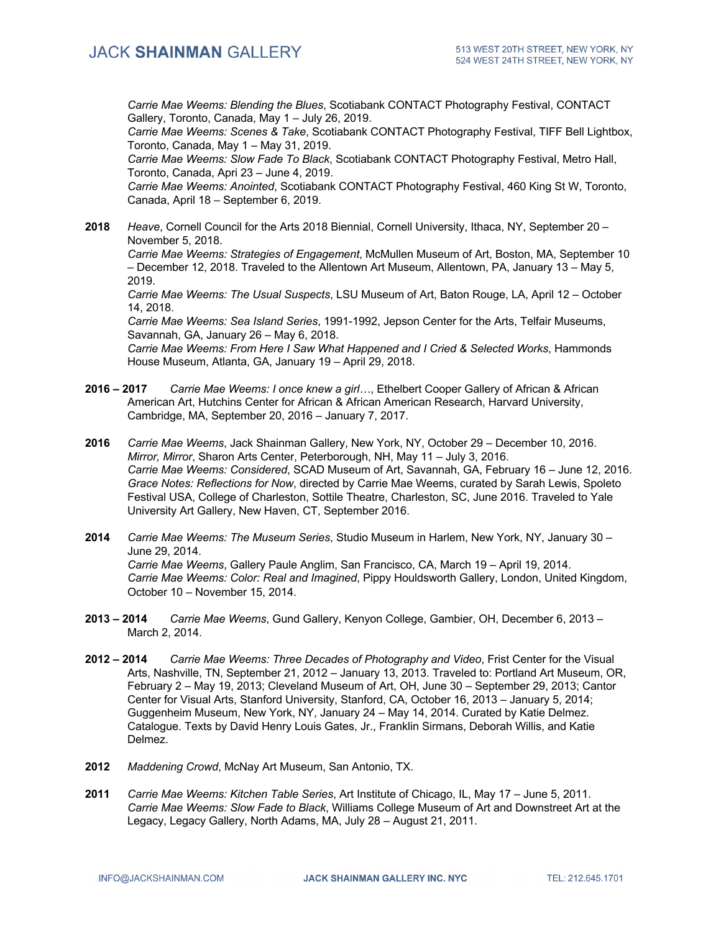*Carrie Mae Weems: Blending the Blues*, Scotiabank CONTACT Photography Festival, CONTACT Gallery, Toronto, Canada, May 1 – July 26, 2019.

*Carrie Mae Weems: Scenes & Take*, Scotiabank CONTACT Photography Festival, TIFF Bell Lightbox, Toronto, Canada, May 1 – May 31, 2019.

*Carrie Mae Weems: Slow Fade To Black*, Scotiabank CONTACT Photography Festival, Metro Hall, Toronto, Canada, Apri 23 – June 4, 2019.

*Carrie Mae Weems: Anointed*, Scotiabank CONTACT Photography Festival, 460 King St W, Toronto, Canada, April 18 – September 6, 2019.

**2018** *Heave*, Cornell Council for the Arts 2018 Biennial, Cornell University, Ithaca, NY, September 20 – November 5, 2018.

*Carrie Mae Weems: Strategies of Engagement*, McMullen Museum of Art, Boston, MA, September 10 – December 12, 2018. Traveled to the Allentown Art Museum, Allentown, PA, January 13 – May 5, 2019.

*Carrie Mae Weems: The Usual Suspects*, LSU Museum of Art, Baton Rouge, LA, April 12 – October 14, 2018.

*Carrie Mae Weems: Sea Island Series*, 1991-1992, Jepson Center for the Arts, Telfair Museums, Savannah, GA, January 26 – May 6, 2018.

*Carrie Mae Weems: From Here I Saw What Happened and I Cried & Selected Works*, Hammonds House Museum, Atlanta, GA, January 19 – April 29, 2018.

- **2016 – 2017** *Carrie Mae Weems: I once knew a girl…*, Ethelbert Cooper Gallery of African & African American Art, Hutchins Center for African & African American Research, Harvard University, Cambridge, MA, September 20, 2016 – January 7, 2017.
- **2016** *Carrie Mae Weems*, Jack Shainman Gallery, New York, NY, October 29 December 10, 2016. *Mirror, Mirror*, Sharon Arts Center, Peterborough, NH, May 11 – July 3, 2016. *Carrie Mae Weems: Considered*, SCAD Museum of Art, Savannah, GA, February 16 – June 12, 2016. *Grace Notes: Reflections for Now*, directed by Carrie Mae Weems, curated by Sarah Lewis, Spoleto Festival USA, College of Charleston, Sottile Theatre, Charleston, SC, June 2016. Traveled to Yale University Art Gallery, New Haven, CT, September 2016.
- **2014** *Carrie Mae Weems: The Museum Series*, Studio Museum in Harlem, New York, NY, January 30 June 29, 2014. *Carrie Mae Weems*, Gallery Paule Anglim, San Francisco, CA, March 19 – April 19, 2014. *Carrie Mae Weems: Color: Real and Imagined*, Pippy Houldsworth Gallery, London, United Kingdom, October 10 – November 15, 2014.
- **2013 – 2014** *Carrie Mae Weems*, Gund Gallery, Kenyon College, Gambier, OH, December 6, 2013 March 2, 2014.
- **2012 – 2014** *Carrie Mae Weems: Three Decades of Photography and Video*, Frist Center for the Visual Arts, Nashville, TN, September 21, 2012 – January 13, 2013. Traveled to: Portland Art Museum, OR, February 2 – May 19, 2013; Cleveland Museum of Art, OH, June 30 – September 29, 2013; Cantor Center for Visual Arts, Stanford University, Stanford, CA, October 16, 2013 – January 5, 2014; Guggenheim Museum, New York, NY, January 24 – May 14, 2014. Curated by Katie Delmez. Catalogue. Texts by David Henry Louis Gates, Jr., Franklin Sirmans, Deborah Willis, and Katie Delmez.
- **2012** *Maddening Crowd*, McNay Art Museum, San Antonio, TX.
- **2011** *Carrie Mae Weems: Kitchen Table Series*, Art Institute of Chicago, IL, May 17 June 5, 2011. *Carrie Mae Weems: Slow Fade to Black*, Williams College Museum of Art and Downstreet Art at the Legacy, Legacy Gallery, North Adams, MA, July 28 – August 21, 2011.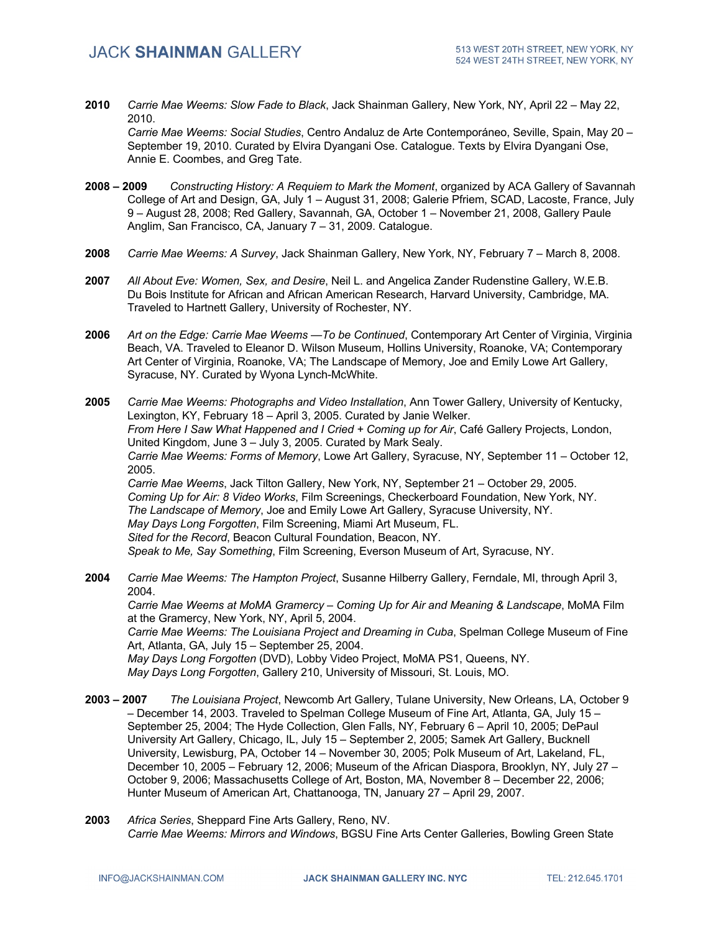**2010** *Carrie Mae Weems: Slow Fade to Black*, Jack Shainman Gallery, New York, NY, April 22 – May 22, 2010.

*Carrie Mae Weems: Social Studies*, Centro Andaluz de Arte Contemporáneo, Seville, Spain, May 20 – September 19, 2010. Curated by Elvira Dyangani Ose. Catalogue. Texts by Elvira Dyangani Ose, Annie E. Coombes, and Greg Tate.

- **2008 – 2009** *Constructing History: A Requiem to Mark the Moment*, organized by ACA Gallery of Savannah College of Art and Design, GA, July 1 – August 31, 2008; Galerie Pfriem, SCAD, Lacoste, France, July 9 – August 28, 2008; Red Gallery, Savannah, GA, October 1 – November 21, 2008, Gallery Paule Anglim, San Francisco, CA, January 7 – 31, 2009. Catalogue.
- **2008** *Carrie Mae Weems: A Survey*, Jack Shainman Gallery, New York, NY, February 7 March 8, 2008.
- **2007** *All About Eve: Women, Sex, and Desire*, Neil L. and Angelica Zander Rudenstine Gallery, W.E.B. Du Bois Institute for African and African American Research, Harvard University, Cambridge, MA. Traveled to Hartnett Gallery, University of Rochester, NY.
- **2006** *Art on the Edge: Carrie Mae Weems —To be Continued*, Contemporary Art Center of Virginia, Virginia Beach, VA. Traveled to Eleanor D. Wilson Museum, Hollins University, Roanoke, VA; Contemporary Art Center of Virginia, Roanoke, VA; The Landscape of Memory, Joe and Emily Lowe Art Gallery, Syracuse, NY. Curated by Wyona Lynch-McWhite.
- **2005** *Carrie Mae Weems: Photographs and Video Installation*, Ann Tower Gallery, University of Kentucky, Lexington, KY, February 18 – April 3, 2005. Curated by Janie Welker. *From Here I Saw What Happened and I Cried + Coming up for Air*, Café Gallery Projects, London, United Kingdom, June 3 – July 3, 2005. Curated by Mark Sealy. *Carrie Mae Weems: Forms of Memory*, Lowe Art Gallery, Syracuse, NY, September 11 – October 12, 2005. *Carrie Mae Weems*, Jack Tilton Gallery, New York, NY, September 21 – October 29, 2005. *Coming Up for Air: 8 Video Works*, Film Screenings, Checkerboard Foundation, New York, NY. *The Landscape of Memory*, Joe and Emily Lowe Art Gallery, Syracuse University, NY. *May Days Long Forgotten*, Film Screening, Miami Art Museum, FL. *Sited for the Record*, Beacon Cultural Foundation, Beacon, NY. *Speak to Me, Say Something*, Film Screening, Everson Museum of Art, Syracuse, NY.
- **2004** *Carrie Mae Weems: The Hampton Project*, Susanne Hilberry Gallery, Ferndale, MI, through April 3, 2004. *Carrie Mae Weems at MoMA Gramercy – Coming Up for Air and Meaning & Landscape*, MoMA Film at the Gramercy, New York, NY, April 5, 2004. *Carrie Mae Weems: The Louisiana Project and Dreaming in Cuba*, Spelman College Museum of Fine Art, Atlanta, GA, July 15 – September 25, 2004. *May Days Long Forgotten* (DVD), Lobby Video Project, MoMA PS1, Queens, NY. *May Days Long Forgotten*, Gallery 210, University of Missouri, St. Louis, MO.
- **2003 – 2007** *The Louisiana Project*, Newcomb Art Gallery, Tulane University, New Orleans, LA, October 9 – December 14, 2003. Traveled to Spelman College Museum of Fine Art, Atlanta, GA, July 15 – September 25, 2004; The Hyde Collection, Glen Falls, NY, February 6 – April 10, 2005; DePaul University Art Gallery, Chicago, IL, July 15 – September 2, 2005; Samek Art Gallery, Bucknell University, Lewisburg, PA, October 14 – November 30, 2005; Polk Museum of Art, Lakeland, FL, December 10, 2005 – February 12, 2006; Museum of the African Diaspora, Brooklyn, NY, July 27 – October 9, 2006; Massachusetts College of Art, Boston, MA, November 8 – December 22, 2006; Hunter Museum of American Art, Chattanooga, TN, January 27 – April 29, 2007.
- **2003** *Africa Series*, Sheppard Fine Arts Gallery, Reno, NV. *Carrie Mae Weems: Mirrors and Windows*, BGSU Fine Arts Center Galleries, Bowling Green State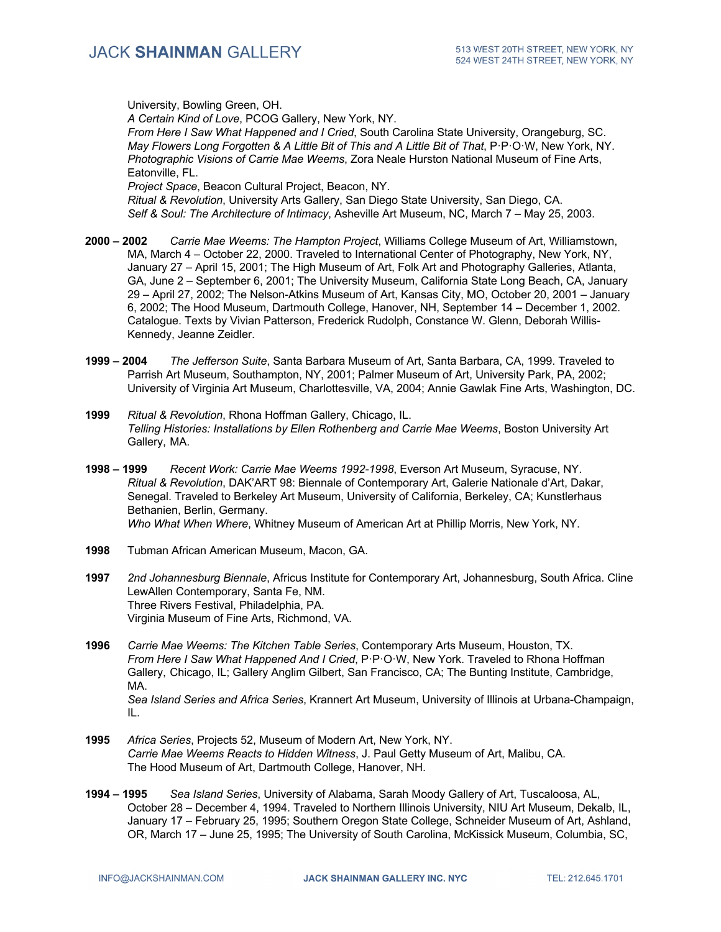University, Bowling Green, OH. *A Certain Kind of Love*, PCOG Gallery, New York, NY. *From Here I Saw What Happened and I Cried*, South Carolina State University, Orangeburg, SC. *May Flowers Long Forgotten & A Little Bit of This and A Little Bit of That*, P·P·O·W, New York, NY. *Photographic Visions of Carrie Mae Weems*, Zora Neale Hurston National Museum of Fine Arts, Eatonville, FL. *Project Space*, Beacon Cultural Project, Beacon, NY. *Ritual & Revolution*, University Arts Gallery, San Diego State University, San Diego, CA.

**2000 – 2002** *Carrie Mae Weems: The Hampton Project*, Williams College Museum of Art, Williamstown, MA, March 4 – October 22, 2000. Traveled to International Center of Photography, New York, NY, January 27 – April 15, 2001; The High Museum of Art, Folk Art and Photography Galleries, Atlanta, GA, June 2 – September 6, 2001; The University Museum, California State Long Beach, CA, January 29 – April 27, 2002; The Nelson-Atkins Museum of Art, Kansas City, MO, October 20, 2001 – January 6, 2002; The Hood Museum, Dartmouth College, Hanover, NH, September 14 – December 1, 2002. Catalogue. Texts by Vivian Patterson, Frederick Rudolph, Constance W. Glenn, Deborah Willis-Kennedy, Jeanne Zeidler.

*Self & Soul: The Architecture of Intimacy*, Asheville Art Museum, NC, March 7 – May 25, 2003.

- **1999 – 2004** *The Jefferson Suite*, Santa Barbara Museum of Art, Santa Barbara, CA, 1999. Traveled to Parrish Art Museum, Southampton, NY, 2001; Palmer Museum of Art, University Park, PA, 2002; University of Virginia Art Museum, Charlottesville, VA, 2004; Annie Gawlak Fine Arts, Washington, DC.
- **1999** *Ritual & Revolution*, Rhona Hoffman Gallery, Chicago, IL. *Telling Histories: Installations by Ellen Rothenberg and Carrie Mae Weems*, Boston University Art Gallery, MA.
- **1998 – 1999** *Recent Work: Carrie Mae Weems 1992-1998*, Everson Art Museum, Syracuse, NY. *Ritual & Revolution*, DAK'ART 98: Biennale of Contemporary Art, Galerie Nationale d'Art, Dakar, Senegal. Traveled to Berkeley Art Museum, University of California, Berkeley, CA; Kunstlerhaus Bethanien, Berlin, Germany. *Who What When Where*, Whitney Museum of American Art at Phillip Morris, New York, NY.
- **1998** Tubman African American Museum, Macon, GA.
- **1997** *2nd Johannesburg Biennale*, Africus Institute for Contemporary Art, Johannesburg, South Africa. Cline LewAllen Contemporary, Santa Fe, NM. Three Rivers Festival, Philadelphia, PA. Virginia Museum of Fine Arts, Richmond, VA.
- **1996** *Carrie Mae Weems: The Kitchen Table Series*, Contemporary Arts Museum, Houston, TX. *From Here I Saw What Happened And I Cried*, P·P·O·W, New York. Traveled to Rhona Hoffman Gallery, Chicago, IL; Gallery Anglim Gilbert, San Francisco, CA; The Bunting Institute, Cambridge, MA. *Sea Island Series and Africa Series*, Krannert Art Museum, University of Illinois at Urbana-Champaign, IL.
- **1995** *Africa Series*, Projects 52, Museum of Modern Art, New York, NY. *Carrie Mae Weems Reacts to Hidden Witness*, J. Paul Getty Museum of Art, Malibu, CA. The Hood Museum of Art, Dartmouth College, Hanover, NH.
- **1994 – 1995** *Sea Island Series*, University of Alabama, Sarah Moody Gallery of Art, Tuscaloosa, AL, October 28 – December 4, 1994. Traveled to Northern Illinois University, NIU Art Museum, Dekalb, IL, January 17 – February 25, 1995; Southern Oregon State College, Schneider Museum of Art, Ashland, OR, March 17 – June 25, 1995; The University of South Carolina, McKissick Museum, Columbia, SC,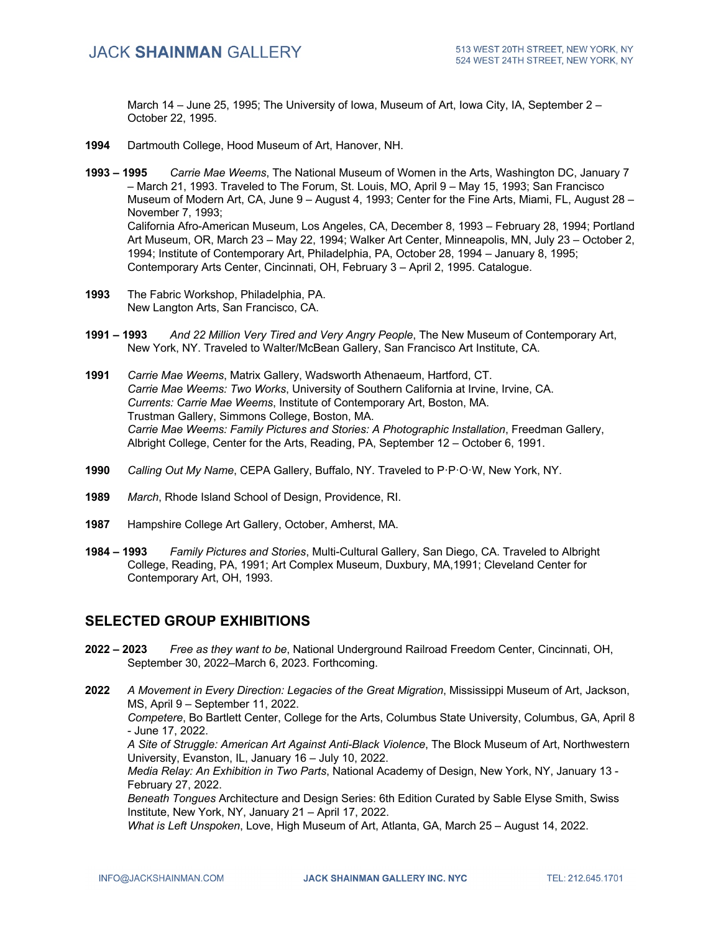March 14 – June 25, 1995; The University of Iowa, Museum of Art, Iowa City, IA, September 2 – October 22, 1995.

- **1994** Dartmouth College, Hood Museum of Art, Hanover, NH.
- **1993 – 1995** *Carrie Mae Weems*, The National Museum of Women in the Arts, Washington DC, January 7 – March 21, 1993. Traveled to The Forum, St. Louis, MO, April 9 – May 15, 1993; San Francisco Museum of Modern Art, CA, June 9 – August 4, 1993; Center for the Fine Arts, Miami, FL, August 28 – November 7, 1993; California Afro-American Museum, Los Angeles, CA, December 8, 1993 – February 28, 1994; Portland Art Museum, OR, March 23 – May 22, 1994; Walker Art Center, Minneapolis, MN, July 23 – October 2, 1994; Institute of Contemporary Art, Philadelphia, PA, October 28, 1994 – January 8, 1995; Contemporary Arts Center, Cincinnati, OH, February 3 – April 2, 1995. Catalogue.
- **1993** The Fabric Workshop, Philadelphia, PA. New Langton Arts, San Francisco, CA.
- **1991 – 1993** *And 22 Million Very Tired and Very Angry People*, The New Museum of Contemporary Art, New York, NY. Traveled to Walter/McBean Gallery, San Francisco Art Institute, CA.
- **1991** *Carrie Mae Weems*, Matrix Gallery, Wadsworth Athenaeum, Hartford, CT. *Carrie Mae Weems: Two Works*, University of Southern California at Irvine, Irvine, CA. *Currents: Carrie Mae Weems*, Institute of Contemporary Art, Boston, MA. Trustman Gallery, Simmons College, Boston, MA. *Carrie Mae Weems: Family Pictures and Stories: A Photographic Installation*, Freedman Gallery, Albright College, Center for the Arts, Reading, PA, September 12 – October 6, 1991.
- **1990** *Calling Out My Name*, CEPA Gallery, Buffalo, NY. Traveled to P·P·O·W, New York, NY.
- **1989** *March*, Rhode Island School of Design, Providence, RI.
- **1987** Hampshire College Art Gallery, October, Amherst, MA.
- **1984 – 1993** *Family Pictures and Stories*, Multi-Cultural Gallery, San Diego, CA. Traveled to Albright College, Reading, PA, 1991; Art Complex Museum, Duxbury, MA,1991; Cleveland Center for Contemporary Art, OH, 1993.

### **SELECTED GROUP EXHIBITIONS**

- **2022 – 2023** *Free as they want to be*, National Underground Railroad Freedom Center, Cincinnati, OH, September 30, 2022–March 6, 2023. Forthcoming.
- **2022** *A Movement in Every Direction: Legacies of the Great Migration*, Mississippi Museum of Art, Jackson, MS, April 9 – September 11, 2022.

*Competere*, Bo Bartlett Center, College for the Arts, Columbus State University, Columbus, GA, April 8 - June 17, 2022.

*A Site of Struggle: American Art Against Anti-Black Violence*, The Block Museum of Art, Northwestern University, Evanston, IL, January 16 – July 10, 2022.

*Media Relay: An Exhibition in Two Parts*, National Academy of Design, New York, NY, January 13 - February 27, 2022.

*Beneath Tongues* Architecture and Design Series: 6th Edition Curated by Sable Elyse Smith, Swiss Institute, New York, NY, January 21 – April 17, 2022.

*What is Left Unspoken*, Love, High Museum of Art, Atlanta, GA, March 25 – August 14, 2022.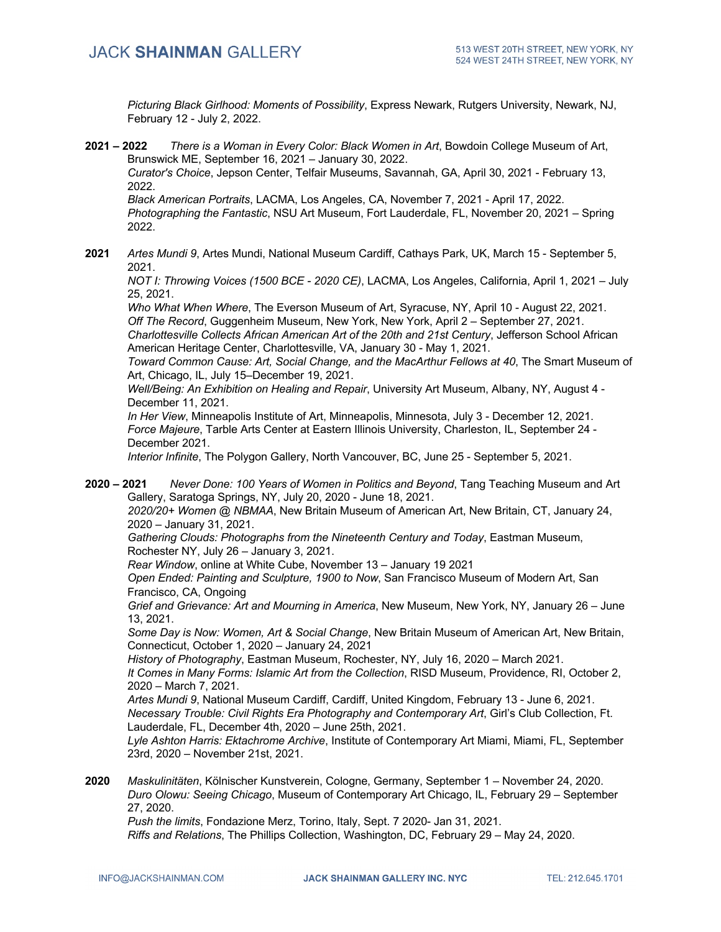*Picturing Black Girlhood: Moments of Possibility*, Express Newark, Rutgers University, Newark, NJ, February 12 - July 2, 2022.

**2021 – 2022** *There is a Woman in Every Color: Black Women in Art*, Bowdoin College Museum of Art, Brunswick ME, September 16, 2021 – January 30, 2022.

*Curator's Choice*, Jepson Center, Telfair Museums, Savannah, GA, April 30, 2021 - February 13, 2022.

*Black American Portraits*, LACMA, Los Angeles, CA, November 7, 2021 - April 17, 2022. *Photographing the Fantastic*, NSU Art Museum, Fort Lauderdale, FL, November 20, 2021 – Spring 2022.

**2021** *Artes Mundi 9*, Artes Mundi, National Museum Cardiff, Cathays Park, UK, March 15 - September 5, 2021.

*NOT I: Throwing Voices (1500 BCE - 2020 CE)*, LACMA, Los Angeles, California, April 1, 2021 – July 25, 2021.

*Who What When Where*, The Everson Museum of Art, Syracuse, NY, April 10 - August 22, 2021. *Off The Record*, Guggenheim Museum, New York, New York, April 2 – September 27, 2021.

*Charlottesville Collects African American Art of the 20th and 21st Century*, Jefferson School African American Heritage Center, Charlottesville, VA, January 30 - May 1, 2021.

*Toward Common Cause: Art, Social Change, and the MacArthur Fellows at 40*, The Smart Museum of Art, Chicago, IL, July 15–December 19, 2021.

*Well/Being: An Exhibition on Healing and Repair*, University Art Museum, Albany, NY, August 4 - December 11, 2021.

*In Her View*, Minneapolis Institute of Art, Minneapolis, Minnesota, July 3 - December 12, 2021. *Force Majeure*, Tarble Arts Center at Eastern Illinois University, Charleston, IL, September 24 - December 2021.

*Interior Infinite*, The Polygon Gallery, North Vancouver, BC, June 25 - September 5, 2021.

**2020 – 2021** *Never Done: 100 Years of Women in Politics and Beyond*, Tang Teaching Museum and Art Gallery, Saratoga Springs, NY, July 20, 2020 - June 18, 2021. *2020/20+ Women @ NBMAA*, New Britain Museum of American Art, New Britain, CT, January 24, 2020 – January 31, 2021.

*Gathering Clouds: Photographs from the Nineteenth Century and Today*, Eastman Museum, Rochester NY, July 26 – January 3, 2021.

*Rear Window*, online at White Cube, November 13 – January 19 2021

*Open Ended: Painting and Sculpture, 1900 to Now*, San Francisco Museum of Modern Art, San Francisco, CA, Ongoing

*Grief and Grievance: Art and Mourning in America*, New Museum, New York, NY, January 26 – June 13, 2021.

*Some Day is Now: Women, Art & Social Change*, New Britain Museum of American Art, New Britain, Connecticut, October 1, 2020 – January 24, 2021

*History of Photography*, Eastman Museum, Rochester, NY, July 16, 2020 – March 2021.

*It Comes in Many Forms: Islamic Art from the Collection*, RISD Museum, Providence, RI, October 2, 2020 – March 7, 2021.

*Artes Mundi 9*, National Museum Cardiff, Cardiff, United Kingdom, February 13 - June 6, 2021. *Necessary Trouble: Civil Rights Era Photography and Contemporary Art*, Girl's Club Collection, Ft. Lauderdale, FL, December 4th, 2020 – June 25th, 2021.

*Lyle Ashton Harris: Ektachrome Archive*, Institute of Contemporary Art Miami, Miami, FL, September 23rd, 2020 – November 21st, 2021.

**2020** *Maskulinitäten*, Kölnischer Kunstverein, Cologne, Germany, September 1 – November 24, 2020. *Duro Olowu: Seeing Chicago*, Museum of Contemporary Art Chicago, IL, February 29 – September 27, 2020.

*Push the limits*, Fondazione Merz, Torino, Italy, Sept. 7 2020- Jan 31, 2021. *Riffs and Relations*, The Phillips Collection, Washington, DC, February 29 – May 24, 2020.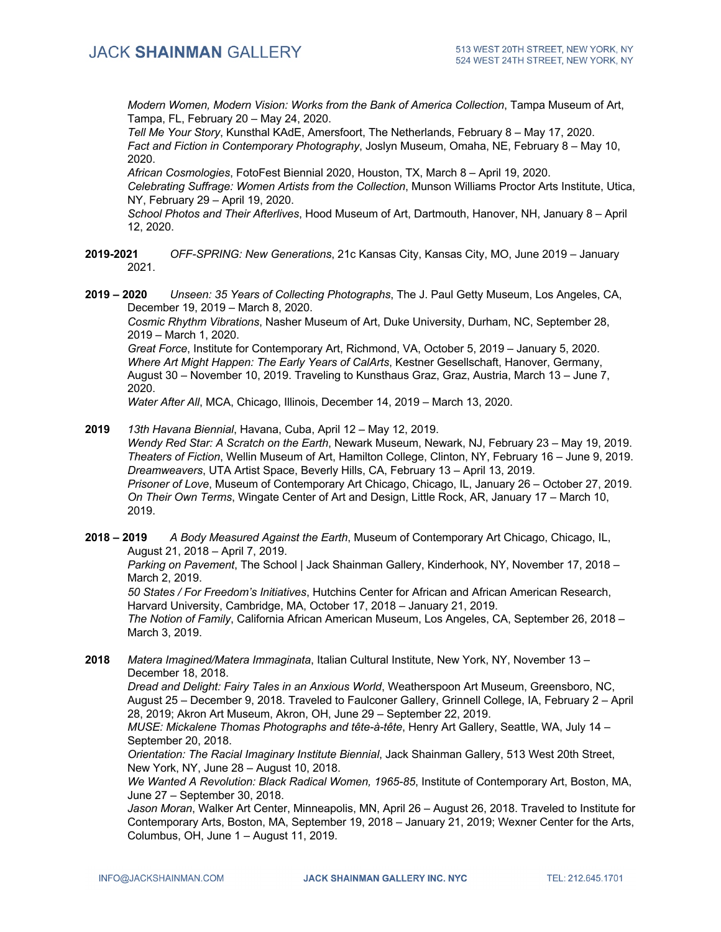*Modern Women, Modern Vision: Works from the Bank of America Collection*, Tampa Museum of Art, Tampa, FL, February 20 – May 24, 2020.

*Tell Me Your Story*, Kunsthal KAdE, Amersfoort, The Netherlands, February 8 – May 17, 2020. *Fact and Fiction in Contemporary Photography*, Joslyn Museum, Omaha, NE, February 8 – May 10, 2020.

*African Cosmologies*, FotoFest Biennial 2020, Houston, TX, March 8 – April 19, 2020. *Celebrating Suffrage: Women Artists from the Collection*, Munson Williams Proctor Arts Institute, Utica, NY, February 29 – April 19, 2020.

*School Photos and Their Afterlives*, Hood Museum of Art, Dartmouth, Hanover, NH, January 8 – April 12, 2020.

**2019-2021** *OFF-SPRING: New Generations*, 21c Kansas City, Kansas City, MO, June 2019 – January 2021.

**2019 – 2020** *Unseen: 35 Years of Collecting Photographs*, The J. Paul Getty Museum, Los Angeles, CA, December 19, 2019 – March 8, 2020.

*Cosmic Rhythm Vibrations*, Nasher Museum of Art, Duke University, Durham, NC, September 28, 2019 – March 1, 2020.

*Great Force*, Institute for Contemporary Art, Richmond, VA, October 5, 2019 – January 5, 2020. *Where Art Might Happen: The Early Years of CalArts*, Kestner Gesellschaft, Hanover, Germany, August 30 – November 10, 2019. Traveling to Kunsthaus Graz, Graz, Austria, March 13 – June 7, 2020.

*Water After All*, MCA, Chicago, Illinois, December 14, 2019 – March 13, 2020.

**2019** *13th Havana Biennial*, Havana, Cuba, April 12 – May 12, 2019.

*Wendy Red Star: A Scratch on the Earth*, Newark Museum, Newark, NJ, February 23 – May 19, 2019. *Theaters of Fiction*, Wellin Museum of Art, Hamilton College, Clinton, NY, February 16 – June 9, 2019. *Dreamweavers*, UTA Artist Space, Beverly Hills, CA, February 13 – April 13, 2019. *Prisoner of Love*, Museum of Contemporary Art Chicago, Chicago, IL, January 26 – October 27, 2019. *On Their Own Terms*, Wingate Center of Art and Design, Little Rock, AR, January 17 – March 10, 2019.

**2018 – 2019** *A Body Measured Against the Earth*, Museum of Contemporary Art Chicago, Chicago, IL, August 21, 2018 – April 7, 2019.

*Parking on Pavement*, The School | Jack Shainman Gallery, Kinderhook, NY, November 17, 2018 – March 2, 2019.

*50 States / For Freedom's Initiatives*, Hutchins Center for African and African American Research, Harvard University, Cambridge, MA, October 17, 2018 – January 21, 2019.

*The Notion of Family*, California African American Museum, Los Angeles, CA, September 26, 2018 – March 3, 2019.

**2018** *Matera Imagined/Matera Immaginata*, Italian Cultural Institute, New York, NY, November 13 – December 18, 2018.

*Dread and Delight: Fairy Tales in an Anxious World*, Weatherspoon Art Museum, Greensboro, NC, August 25 – December 9, 2018. Traveled to Faulconer Gallery, Grinnell College, IA, February 2 – April 28, 2019; Akron Art Museum, Akron, OH, June 29 – September 22, 2019.

*MUSE: Mickalene Thomas Photographs and tête-à-tête*, Henry Art Gallery, Seattle, WA, July 14 – September 20, 2018.

*Orientation: The Racial Imaginary Institute Biennial*, Jack Shainman Gallery, 513 West 20th Street, New York, NY, June 28 – August 10, 2018.

*We Wanted A Revolution: Black Radical Women, 1965-85*, Institute of Contemporary Art, Boston, MA, June 27 – September 30, 2018.

*Jason Moran*, Walker Art Center, Minneapolis, MN, April 26 – August 26, 2018. Traveled to Institute for Contemporary Arts, Boston, MA, September 19, 2018 – January 21, 2019; Wexner Center for the Arts, Columbus, OH, June 1 – August 11, 2019.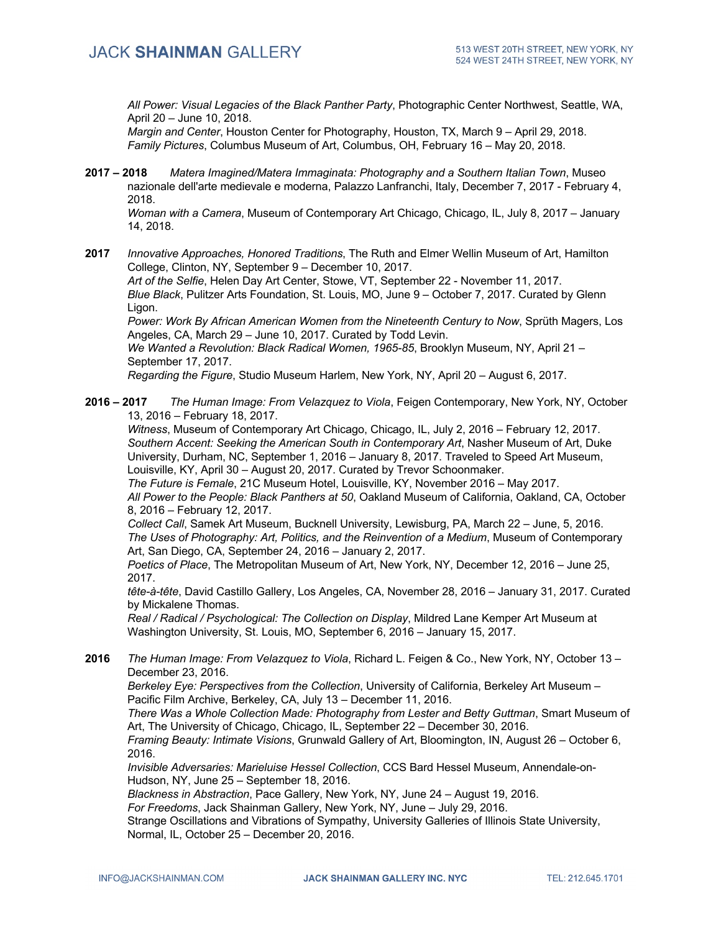*All Power: Visual Legacies of the Black Panther Party*, Photographic Center Northwest, Seattle, WA, April 20 – June 10, 2018.

*Margin and Center*, Houston Center for Photography, Houston, TX, March 9 – April 29, 2018. *Family Pictures*, Columbus Museum of Art, Columbus, OH, February 16 – May 20, 2018.

**2017 – 2018** *Matera Imagined/Matera Immaginata: Photography and a Southern Italian Town*, Museo nazionale dell'arte medievale e moderna, Palazzo Lanfranchi, Italy, December 7, 2017 - February 4, 2018.

*Woman with a Camera*, Museum of Contemporary Art Chicago, Chicago, IL, July 8, 2017 – January 14, 2018.

**2017** *Innovative Approaches, Honored Traditions*, The Ruth and Elmer Wellin Museum of Art, Hamilton College, Clinton, NY, September 9 – December 10, 2017.

*Art of the Selfie*, Helen Day Art Center, Stowe, VT, September 22 - November 11, 2017. *Blue Black*, Pulitzer Arts Foundation, St. Louis, MO, June 9 – October 7, 2017. Curated by Glenn Ligon.

*Power: Work By African American Women from the Nineteenth Century to Now*, Sprüth Magers, Los Angeles, CA, March 29 – June 10, 2017. Curated by Todd Levin.

*We Wanted a Revolution: Black Radical Women, 1965-85*, Brooklyn Museum, NY, April 21 – September 17, 2017.

*Regarding the Figure*, Studio Museum Harlem, New York, NY, April 20 – August 6, 2017.

**2016 – 2017** *The Human Image: From Velazquez to Viola*, Feigen Contemporary, New York, NY, October 13, 2016 – February 18, 2017.

*Witness*, Museum of Contemporary Art Chicago, Chicago, IL, July 2, 2016 – February 12, 2017. *Southern Accent: Seeking the American South in Contemporary Art*, Nasher Museum of Art, Duke University, Durham, NC, September 1, 2016 – January 8, 2017. Traveled to Speed Art Museum, Louisville, KY, April 30 – August 20, 2017. Curated by Trevor Schoonmaker.

*The Future is Female*, 21C Museum Hotel, Louisville, KY, November 2016 – May 2017. *All Power to the People: Black Panthers at 50*, Oakland Museum of California, Oakland, CA, October 8, 2016 – February 12, 2017.

*Collect Call*, Samek Art Museum, Bucknell University, Lewisburg, PA, March 22 – June, 5, 2016. *The Uses of Photography: Art, Politics, and the Reinvention of a Medium*, Museum of Contemporary Art, San Diego, CA, September 24, 2016 – January 2, 2017.

*Poetics of Place*, The Metropolitan Museum of Art, New York, NY, December 12, 2016 – June 25, 2017.

*tête-à-tête*, David Castillo Gallery, Los Angeles, CA, November 28, 2016 – January 31, 2017. Curated by Mickalene Thomas.

*Real / Radical / Psychological: The Collection on Display*, Mildred Lane Kemper Art Museum at Washington University, St. Louis, MO, September 6, 2016 – January 15, 2017.

**2016** *The Human Image: From Velazquez to Viola*, Richard L. Feigen & Co., New York, NY, October 13 – December 23, 2016.

*Berkeley Eye: Perspectives from the Collection*, University of California, Berkeley Art Museum – Pacific Film Archive, Berkeley, CA, July 13 – December 11, 2016.

*There Was a Whole Collection Made: Photography from Lester and Betty Guttman*, Smart Museum of Art, The University of Chicago, Chicago, IL, September 22 – December 30, 2016.

*Framing Beauty: Intimate Visions*, Grunwald Gallery of Art, Bloomington, IN, August 26 – October 6, 2016.

*Invisible Adversaries: Marieluise Hessel Collection*, CCS Bard Hessel Museum, Annendale-on-Hudson, NY, June 25 – September 18, 2016.

*Blackness in Abstraction*, Pace Gallery, New York, NY, June 24 – August 19, 2016.

*For Freedoms*, Jack Shainman Gallery, New York, NY, June – July 29, 2016.

Strange Oscillations and Vibrations of Sympathy, University Galleries of Illinois State University, Normal, IL, October 25 – December 20, 2016.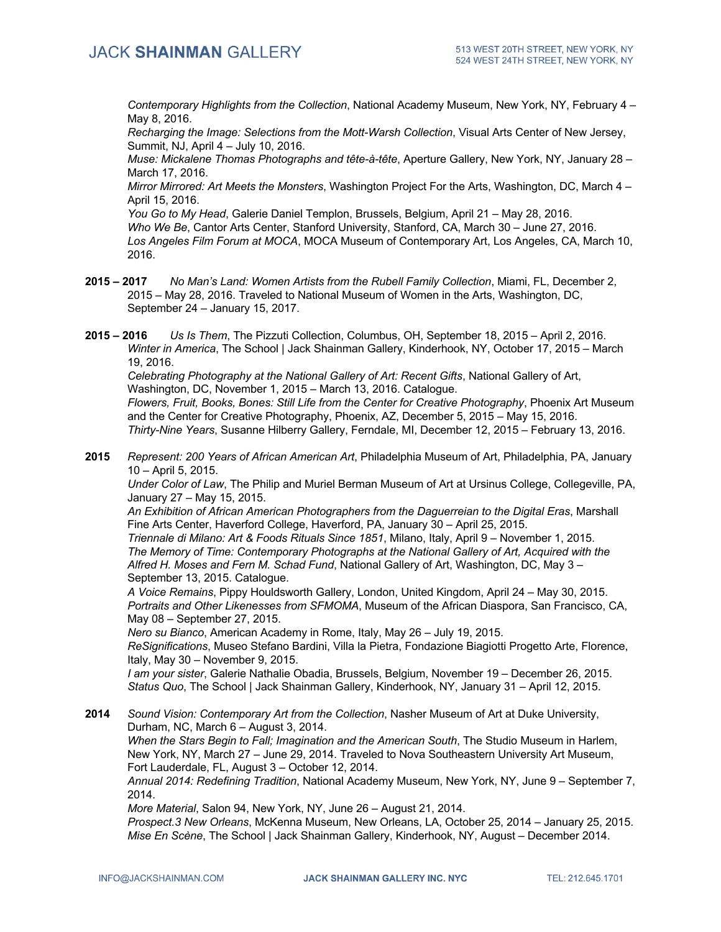*Contemporary Highlights from the Collection*, National Academy Museum, New York, NY, February 4 – May 8, 2016.

*Recharging the Image: Selections from the Mott-Warsh Collection*, Visual Arts Center of New Jersey, Summit, NJ, April 4 – July 10, 2016.

*Muse: Mickalene Thomas Photographs and tête-à-tête*, Aperture Gallery, New York, NY, January 28 – March 17, 2016.

*Mirror Mirrored: Art Meets the Monsters*, Washington Project For the Arts, Washington, DC, March 4 – April 15, 2016.

*You Go to My Head*, Galerie Daniel Templon, Brussels, Belgium, April 21 – May 28, 2016. *Who We Be*, Cantor Arts Center, Stanford University, Stanford, CA, March 30 – June 27, 2016. *Los Angeles Film Forum at MOCA*, MOCA Museum of Contemporary Art, Los Angeles, CA, March 10, 2016.

**2015 – 2017** *No Man's Land: Women Artists from the Rubell Family Collection*, Miami, FL, December 2, 2015 – May 28, 2016. Traveled to National Museum of Women in the Arts, Washington, DC, September 24 – January 15, 2017.

**2015 – 2016** *Us Is Them*, The Pizzuti Collection, Columbus, OH, September 18, 2015 – April 2, 2016. *Winter in America*, The School | Jack Shainman Gallery, Kinderhook, NY, October 17, 2015 – March 19, 2016.

*Celebrating Photography at the National Gallery of Art: Recent Gifts*, National Gallery of Art, Washington, DC, November 1, 2015 – March 13, 2016. Catalogue.

*Flowers, Fruit, Books, Bones: Still Life from the Center for Creative Photography*, Phoenix Art Museum and the Center for Creative Photography, Phoenix, AZ, December 5, 2015 – May 15, 2016. *Thirty-Nine Years*, Susanne Hilberry Gallery, Ferndale, MI, December 12, 2015 – February 13, 2016.

**2015** *Represent: 200 Years of African American Art*, Philadelphia Museum of Art, Philadelphia, PA, January 10 – April 5, 2015.

*Under Color of Law*, The Philip and Muriel Berman Museum of Art at Ursinus College, Collegeville, PA, January 27 – May 15, 2015.

*An Exhibition of African American Photographers from the Daguerreian to the Digital Eras*, Marshall Fine Arts Center, Haverford College, Haverford, PA, January 30 – April 25, 2015.

*Triennale di Milano: Art & Foods Rituals Since 1851*, Milano, Italy, April 9 – November 1, 2015. *The Memory of Time: Contemporary Photographs at the National Gallery of Art, Acquired with the Alfred H. Moses and Fern M. Schad Fund*, National Gallery of Art, Washington, DC, May 3 – September 13, 2015. Catalogue.

*A Voice Remains*, Pippy Houldsworth Gallery, London, United Kingdom, April 24 – May 30, 2015. *Portraits and Other Likenesses from SFMOMA*, Museum of the African Diaspora, San Francisco, CA, May 08 – September 27, 2015.

*Nero su Bianco*, American Academy in Rome, Italy, May 26 – July 19, 2015.

*ReSignifications*, Museo Stefano Bardini, Villa la Pietra, Fondazione Biagiotti Progetto Arte, Florence, Italy, May 30 – November 9, 2015.

*I am your sister*, Galerie Nathalie Obadia, Brussels, Belgium, November 19 – December 26, 2015. *Status Quo*, The School | Jack Shainman Gallery, Kinderhook, NY, January 31 – April 12, 2015.

**2014** *Sound Vision: Contemporary Art from the Collection*, Nasher Museum of Art at Duke University, Durham, NC, March 6 – August 3, 2014. *When the Stars Begin to Fall; Imagination and the American South*, The Studio Museum in Harlem,

New York, NY, March 27 – June 29, 2014. Traveled to Nova Southeastern University Art Museum, Fort Lauderdale, FL, August 3 – October 12, 2014.

*Annual 2014: Redefining Tradition*, National Academy Museum, New York, NY, June 9 – September 7, 2014.

*More Material*, Salon 94, New York, NY, June 26 – August 21, 2014.

*Prospect.3 New Orleans*, McKenna Museum, New Orleans, LA, October 25, 2014 – January 25, 2015. *Mise En Scène*, The School | Jack Shainman Gallery, Kinderhook, NY, August – December 2014.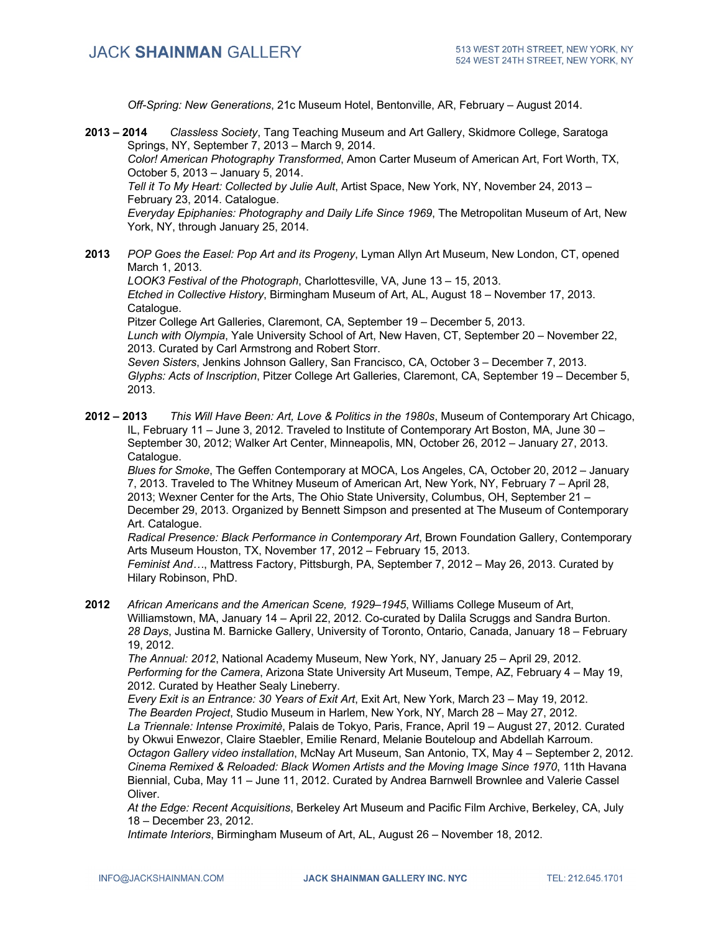*Off-Spring: New Generations*, 21c Museum Hotel, Bentonville, AR, February – August 2014.

**2013 – 2014** *Classless Society*, Tang Teaching Museum and Art Gallery, Skidmore College, Saratoga Springs, NY, September 7, 2013 – March 9, 2014. *Color! American Photography Transformed*, Amon Carter Museum of American Art, Fort Worth, TX, October 5, 2013 – January 5, 2014. *Tell it To My Heart: Collected by Julie Ault*, Artist Space, New York, NY, November 24, 2013 – February 23, 2014. Catalogue. *Everyday Epiphanies: Photography and Daily Life Since 1969*, The Metropolitan Museum of Art, New York, NY, through January 25, 2014. **2013** *POP Goes the Easel: Pop Art and its Progeny*, Lyman Allyn Art Museum, New London, CT, opened March 1, 2013.

*LOOK3 Festival of the Photograph*, Charlottesville, VA, June 13 – 15, 2013. *Etched in Collective History*, Birmingham Museum of Art, AL, August 18 – November 17, 2013. Catalogue.

Pitzer College Art Galleries, Claremont, CA, September 19 – December 5, 2013. *Lunch with Olympia*, Yale University School of Art, New Haven, CT, September 20 – November 22, 2013. Curated by Carl Armstrong and Robert Storr. *Seven Sisters*, Jenkins Johnson Gallery, San Francisco, CA, October 3 – December 7, 2013.

*Glyphs: Acts of Inscription*, Pitzer College Art Galleries, Claremont, CA, September 19 – December 5, 2013.

**2012 – 2013** *This Will Have Been: Art, Love & Politics in the 1980s*, Museum of Contemporary Art Chicago, IL, February 11 – June 3, 2012. Traveled to Institute of Contemporary Art Boston, MA, June 30 – September 30, 2012; Walker Art Center, Minneapolis, MN, October 26, 2012 – January 27, 2013. Catalogue.

*Blues for Smoke*, The Geffen Contemporary at MOCA, Los Angeles, CA, October 20, 2012 – January 7, 2013. Traveled to The Whitney Museum of American Art, New York, NY, February 7 – April 28, 2013; Wexner Center for the Arts, The Ohio State University, Columbus, OH, September 21 – December 29, 2013. Organized by Bennett Simpson and presented at The Museum of Contemporary Art. Catalogue.

*Radical Presence: Black Performance in Contemporary Art*, Brown Foundation Gallery, Contemporary Arts Museum Houston, TX, November 17, 2012 – February 15, 2013.

*Feminist And…*, Mattress Factory, Pittsburgh, PA, September 7, 2012 – May 26, 2013. Curated by Hilary Robinson, PhD.

**2012** *African Americans and the American Scene, 1929–1945*, Williams College Museum of Art, Williamstown, MA, January 14 – April 22, 2012. Co-curated by Dalila Scruggs and Sandra Burton. *28 Days*, Justina M. Barnicke Gallery, University of Toronto, Ontario, Canada, January 18 – February 19, 2012.

*The Annual: 2012*, National Academy Museum, New York, NY, January 25 – April 29, 2012. *Performing for the Camera*, Arizona State University Art Museum, Tempe, AZ, February 4 – May 19, 2012. Curated by Heather Sealy Lineberry.

*Every Exit is an Entrance: 30 Years of Exit Art*, Exit Art, New York, March 23 – May 19, 2012. *The Bearden Project*, Studio Museum in Harlem, New York, NY, March 28 – May 27, 2012. *La Triennale: Intense Proximitè*, Palais de Tokyo, Paris, France, April 19 – August 27, 2012. Curated by Okwui Enwezor, Claire Staebler, Emilie Renard, Melanie Bouteloup and Abdellah Karroum. *Octagon Gallery video installation*, McNay Art Museum, San Antonio, TX, May 4 – September 2, 2012. *Cinema Remixed & Reloaded: Black Women Artists and the Moving Image Since 1970*, 11th Havana Biennial, Cuba, May 11 – June 11, 2012. Curated by Andrea Barnwell Brownlee and Valerie Cassel Oliver.

*At the Edge: Recent Acquisitions*, Berkeley Art Museum and Pacific Film Archive, Berkeley, CA, July 18 – December 23, 2012.

*Intimate Interiors*, Birmingham Museum of Art, AL, August 26 – November 18, 2012.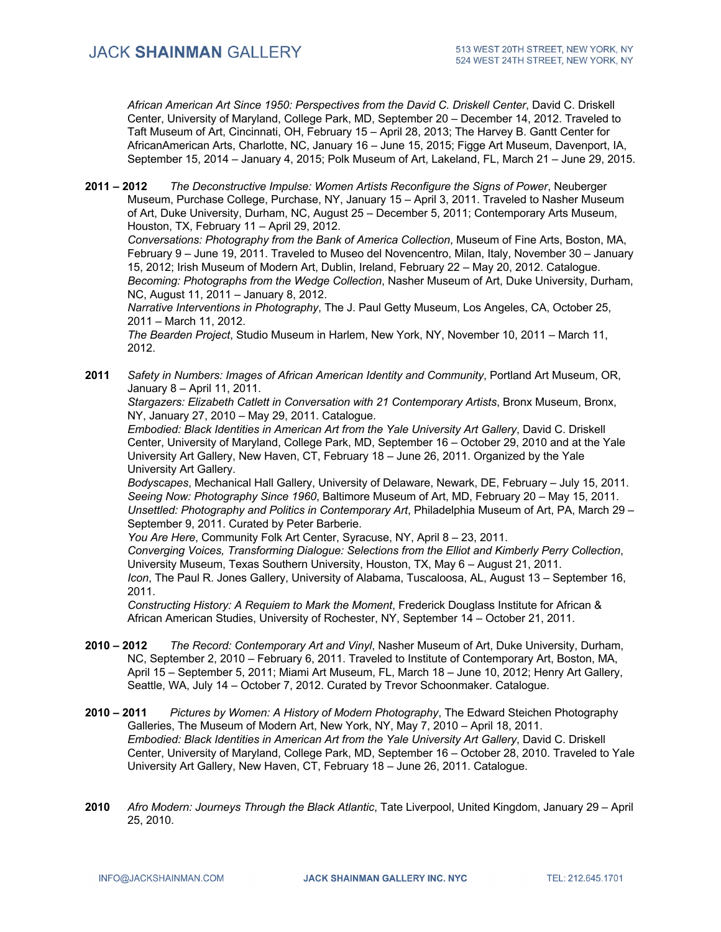*African American Art Since 1950: Perspectives from the David C. Driskell Center*, David C. Driskell Center, University of Maryland, College Park, MD, September 20 – December 14, 2012. Traveled to Taft Museum of Art, Cincinnati, OH, February 15 – April 28, 2013; The Harvey B. Gantt Center for AfricanAmerican Arts, Charlotte, NC, January 16 – June 15, 2015; Figge Art Museum, Davenport, IA, September 15, 2014 – January 4, 2015; Polk Museum of Art, Lakeland, FL, March 21 – June 29, 2015.

**2011 – 2012** *The Deconstructive Impulse: Women Artists Reconfigure the Signs of Power*, Neuberger Museum, Purchase College, Purchase, NY, January 15 – April 3, 2011. Traveled to Nasher Museum of Art, Duke University, Durham, NC, August 25 – December 5, 2011; Contemporary Arts Museum, Houston, TX, February 11 – April 29, 2012.

*Conversations: Photography from the Bank of America Collection*, Museum of Fine Arts, Boston, MA, February 9 – June 19, 2011. Traveled to Museo del Novencentro, Milan, Italy, November 30 – January 15, 2012; Irish Museum of Modern Art, Dublin, Ireland, February 22 – May 20, 2012. Catalogue. *Becoming: Photographs from the Wedge Collection*, Nasher Museum of Art, Duke University, Durham, NC, August 11, 2011 – January 8, 2012.

*Narrative Interventions in Photography*, The J. Paul Getty Museum, Los Angeles, CA, October 25, 2011 – March 11, 2012.

*The Bearden Project*, Studio Museum in Harlem, New York, NY, November 10, 2011 – March 11, 2012.

**2011** *Safety in Numbers: Images of African American Identity and Community*, Portland Art Museum, OR, January 8 – April 11, 2011.

*Stargazers: Elizabeth Catlett in Conversation with 21 Contemporary Artists*, Bronx Museum, Bronx, NY, January 27, 2010 – May 29, 2011. Catalogue.

*Embodied: Black Identities in American Art from the Yale University Art Gallery*, David C. Driskell Center, University of Maryland, College Park, MD, September 16 – October 29, 2010 and at the Yale University Art Gallery, New Haven, CT, February 18 – June 26, 2011. Organized by the Yale University Art Gallery.

*Bodyscapes*, Mechanical Hall Gallery, University of Delaware, Newark, DE, February – July 15, 2011. *Seeing Now: Photography Since 1960*, Baltimore Museum of Art, MD, February 20 – May 15, 2011. *Unsettled: Photography and Politics in Contemporary Art*, Philadelphia Museum of Art, PA, March 29 – September 9, 2011. Curated by Peter Barberie.

*You Are Here*, Community Folk Art Center, Syracuse, NY, April 8 – 23, 2011.

*Converging Voices, Transforming Dialogue: Selections from the Elliot and Kimberly Perry Collection*, University Museum, Texas Southern University, Houston, TX, May 6 – August 21, 2011. *Icon*, The Paul R. Jones Gallery, University of Alabama, Tuscaloosa, AL, August 13 – September 16, 2011.

*Constructing History: A Requiem to Mark the Moment*, Frederick Douglass Institute for African & African American Studies, University of Rochester, NY, September 14 – October 21, 2011.

- **2010 – 2012** *The Record: Contemporary Art and Vinyl*, Nasher Museum of Art, Duke University, Durham, NC, September 2, 2010 – February 6, 2011. Traveled to Institute of Contemporary Art, Boston, MA, April 15 – September 5, 2011; Miami Art Museum, FL, March 18 – June 10, 2012; Henry Art Gallery, Seattle, WA, July 14 – October 7, 2012. Curated by Trevor Schoonmaker. Catalogue.
- **2010 – 2011** *Pictures by Women: A History of Modern Photography*, The Edward Steichen Photography Galleries, The Museum of Modern Art, New York, NY, May 7, 2010 – April 18, 2011. *Embodied: Black Identities in American Art from the Yale University Art Gallery*, David C. Driskell Center, University of Maryland, College Park, MD, September 16 – October 28, 2010. Traveled to Yale University Art Gallery, New Haven, CT, February 18 – June 26, 2011. Catalogue.
- **2010** *Afro Modern: Journeys Through the Black Atlantic*, Tate Liverpool, United Kingdom, January 29 April 25, 2010.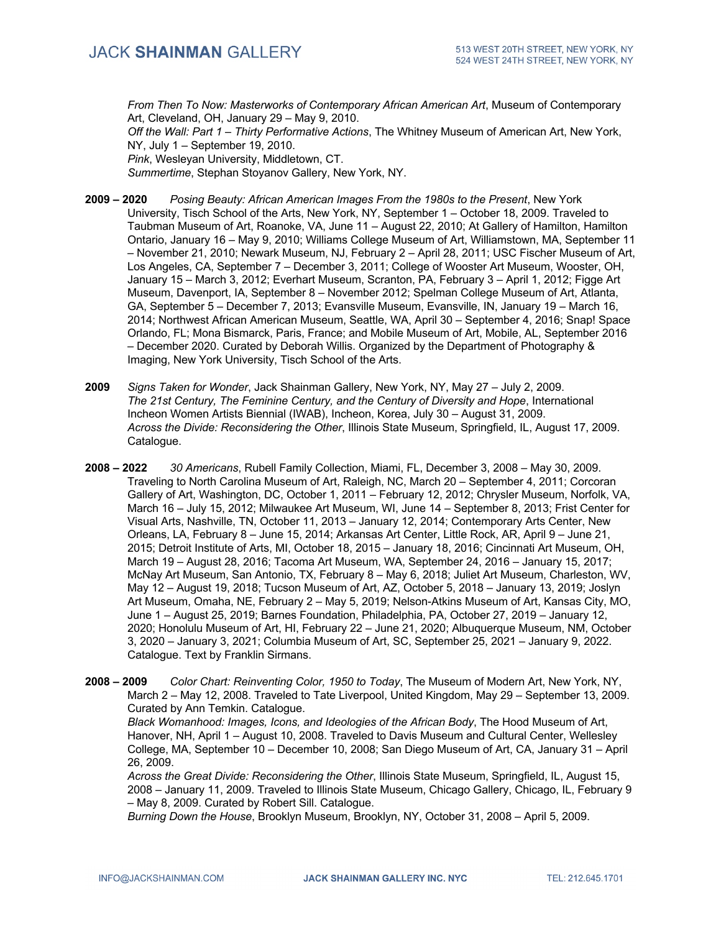*From Then To Now: Masterworks of Contemporary African American Art*, Museum of Contemporary Art, Cleveland, OH, January 29 – May 9, 2010.

*Off the Wall: Part 1 – Thirty Performative Actions*, The Whitney Museum of American Art, New York, NY, July 1 – September 19, 2010.

*Pink*, Wesleyan University, Middletown, CT.

*Summertime*, Stephan Stoyanov Gallery, New York, NY.

- **2009 – 2020** *Posing Beauty: African American Images From the 1980s to the Present*, New York University, Tisch School of the Arts, New York, NY, September 1 – October 18, 2009. Traveled to Taubman Museum of Art, Roanoke, VA, June 11 – August 22, 2010; At Gallery of Hamilton, Hamilton Ontario, January 16 – May 9, 2010; Williams College Museum of Art, Williamstown, MA, September 11 – November 21, 2010; Newark Museum, NJ, February 2 – April 28, 2011; USC Fischer Museum of Art, Los Angeles, CA, September 7 – December 3, 2011; College of Wooster Art Museum, Wooster, OH, January 15 – March 3, 2012; Everhart Museum, Scranton, PA, February 3 – April 1, 2012; Figge Art Museum, Davenport, IA, September 8 – November 2012; Spelman College Museum of Art, Atlanta, GA, September 5 – December 7, 2013; Evansville Museum, Evansville, IN, January 19 – March 16, 2014; Northwest African American Museum, Seattle, WA, April 30 – September 4, 2016; Snap! Space Orlando, FL; Mona Bismarck, Paris, France; and Mobile Museum of Art, Mobile, AL, September 2016 – December 2020. Curated by Deborah Willis. Organized by the Department of Photography & Imaging, New York University, Tisch School of the Arts.
- **2009** *Signs Taken for Wonder*, Jack Shainman Gallery, New York, NY, May 27 July 2, 2009. *The 21st Century, The Feminine Century, and the Century of Diversity and Hope*, International Incheon Women Artists Biennial (IWAB), Incheon, Korea, July 30 – August 31, 2009. *Across the Divide: Reconsidering the Other*, Illinois State Museum, Springfield, IL, August 17, 2009. Catalogue.
- **2008 – 2022** *30 Americans*, Rubell Family Collection, Miami, FL, December 3, 2008 May 30, 2009. Traveling to North Carolina Museum of Art, Raleigh, NC, March 20 – September 4, 2011; Corcoran Gallery of Art, Washington, DC, October 1, 2011 – February 12, 2012; Chrysler Museum, Norfolk, VA, March 16 – July 15, 2012; Milwaukee Art Museum, WI, June 14 – September 8, 2013; Frist Center for Visual Arts, Nashville, TN, October 11, 2013 – January 12, 2014; Contemporary Arts Center, New Orleans, LA, February 8 – June 15, 2014; Arkansas Art Center, Little Rock, AR, April 9 – June 21, 2015; Detroit Institute of Arts, MI, October 18, 2015 – January 18, 2016; Cincinnati Art Museum, OH, March 19 – August 28, 2016; Tacoma Art Museum, WA, September 24, 2016 – January 15, 2017; McNay Art Museum, San Antonio, TX, February 8 – May 6, 2018; Juliet Art Museum, Charleston, WV, May 12 – August 19, 2018; Tucson Museum of Art, AZ, October 5, 2018 – January 13, 2019; Joslyn Art Museum, Omaha, NE, February 2 – May 5, 2019; Nelson-Atkins Museum of Art, Kansas City, MO, June 1 – August 25, 2019; Barnes Foundation, Philadelphia, PA, October 27, 2019 – January 12, 2020; Honolulu Museum of Art, HI, February 22 – June 21, 2020; Albuquerque Museum, NM, October 3, 2020 – January 3, 2021; Columbia Museum of Art, SC, September 25, 2021 – January 9, 2022. Catalogue. Text by Franklin Sirmans.
- **2008 – 2009** *Color Chart: Reinventing Color, 1950 to Today*, The Museum of Modern Art, New York, NY, March 2 – May 12, 2008. Traveled to Tate Liverpool, United Kingdom, May 29 – September 13, 2009. Curated by Ann Temkin. Catalogue.

*Black Womanhood: Images, Icons, and Ideologies of the African Body*, The Hood Museum of Art, Hanover, NH, April 1 – August 10, 2008. Traveled to Davis Museum and Cultural Center, Wellesley College, MA, September 10 – December 10, 2008; San Diego Museum of Art, CA, January 31 – April 26, 2009.

*Across the Great Divide: Reconsidering the Other*, Illinois State Museum, Springfield, IL, August 15, 2008 – January 11, 2009. Traveled to Illinois State Museum, Chicago Gallery, Chicago, IL, February 9 – May 8, 2009. Curated by Robert Sill. Catalogue.

*Burning Down the House*, Brooklyn Museum, Brooklyn, NY, October 31, 2008 – April 5, 2009.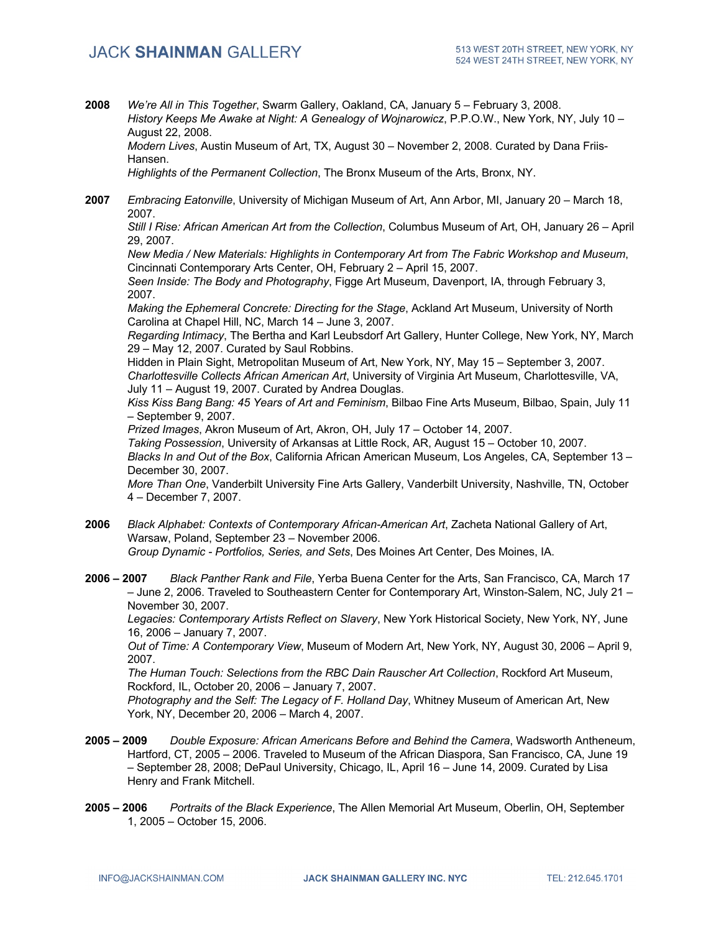**2008** *We're All in This Together*, Swarm Gallery, Oakland, CA, January 5 – February 3, 2008. *History Keeps Me Awake at Night: A Genealogy of Wojnarowicz*, P.P.O.W., New York, NY, July 10 – August 22, 2008.

*Modern Lives*, Austin Museum of Art, TX, August 30 – November 2, 2008. Curated by Dana Friis-Hansen.

*Highlights of the Permanent Collection*, The Bronx Museum of the Arts, Bronx, NY.

**2007** *Embracing Eatonville*, University of Michigan Museum of Art, Ann Arbor, MI, January 20 – March 18, 2007.

*Still I Rise: African American Art from the Collection*, Columbus Museum of Art, OH, January 26 – April 29, 2007.

*New Media / New Materials: Highlights in Contemporary Art from The Fabric Workshop and Museum*, Cincinnati Contemporary Arts Center, OH, February 2 – April 15, 2007.

*Seen Inside: The Body and Photography*, Figge Art Museum, Davenport, IA, through February 3, 2007.

*Making the Ephemeral Concrete: Directing for the Stage*, Ackland Art Museum, University of North Carolina at Chapel Hill, NC, March 14 – June 3, 2007.

*Regarding Intimacy*, The Bertha and Karl Leubsdorf Art Gallery, Hunter College, New York, NY, March 29 – May 12, 2007. Curated by Saul Robbins.

Hidden in Plain Sight, Metropolitan Museum of Art, New York, NY, May 15 – September 3, 2007. *Charlottesville Collects African American Art*, University of Virginia Art Museum, Charlottesville, VA, July 11 – August 19, 2007. Curated by Andrea Douglas.

*Kiss Kiss Bang Bang: 45 Years of Art and Feminism*, Bilbao Fine Arts Museum, Bilbao, Spain, July 11 – September 9, 2007.

*Prized Images*, Akron Museum of Art, Akron, OH, July 17 – October 14, 2007.

*Taking Possession*, University of Arkansas at Little Rock, AR, August 15 – October 10, 2007. *Blacks In and Out of the Box*, California African American Museum, Los Angeles, CA, September 13 – December 30, 2007.

*More Than One*, Vanderbilt University Fine Arts Gallery, Vanderbilt University, Nashville, TN, October 4 – December 7, 2007.

- **2006** *Black Alphabet: Contexts of Contemporary African-American Art*, Zacheta National Gallery of Art, Warsaw, Poland, September 23 – November 2006. *Group Dynamic - Portfolios, Series, and Sets*, Des Moines Art Center, Des Moines, IA.
- **2006 – 2007** *Black Panther Rank and File*, Yerba Buena Center for the Arts, San Francisco, CA, March 17 – June 2, 2006. Traveled to Southeastern Center for Contemporary Art, Winston-Salem, NC, July 21 – November 30, 2007.

*Legacies: Contemporary Artists Reflect on Slavery*, New York Historical Society, New York, NY, June 16, 2006 – January 7, 2007.

*Out of Time: A Contemporary View*, Museum of Modern Art, New York, NY, August 30, 2006 – April 9, 2007.

*The Human Touch: Selections from the RBC Dain Rauscher Art Collection*, Rockford Art Museum, Rockford, IL, October 20, 2006 – January 7, 2007.

*Photography and the Self: The Legacy of F. Holland Day*, Whitney Museum of American Art, New York, NY, December 20, 2006 – March 4, 2007.

- **2005 – 2009** *Double Exposure: African Americans Before and Behind the Camera*, Wadsworth Antheneum, Hartford, CT, 2005 – 2006. Traveled to Museum of the African Diaspora, San Francisco, CA, June 19 – September 28, 2008; DePaul University, Chicago, IL, April 16 – June 14, 2009. Curated by Lisa Henry and Frank Mitchell.
- **2005 – 2006** *Portraits of the Black Experience*, The Allen Memorial Art Museum, Oberlin, OH, September 1, 2005 – October 15, 2006.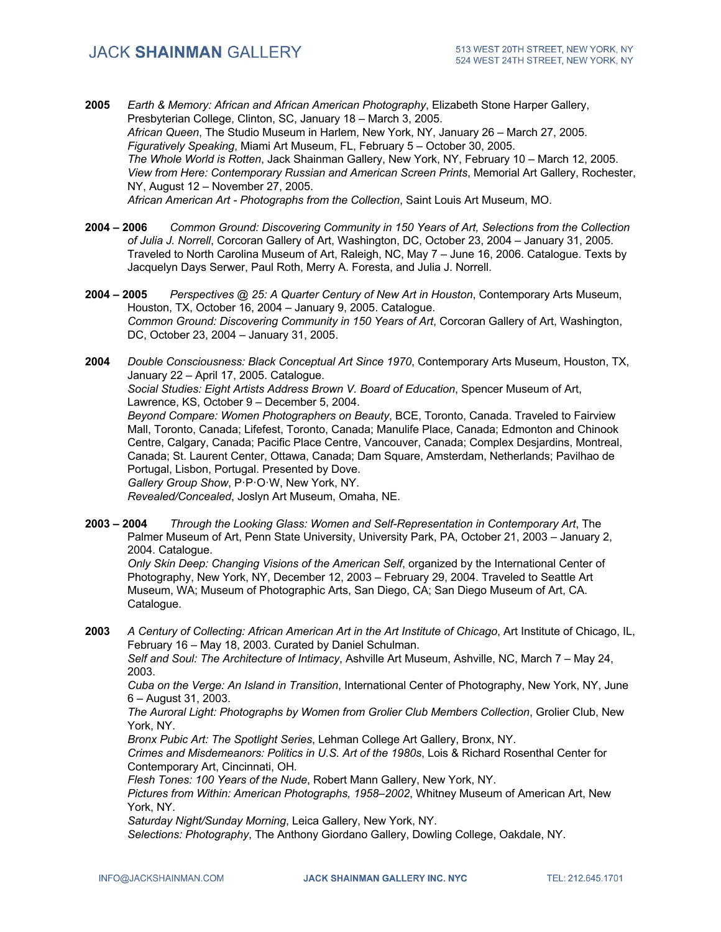- **2005** *Earth & Memory: African and African American Photography*, Elizabeth Stone Harper Gallery, Presbyterian College, Clinton, SC, January 18 – March 3, 2005. *African Queen*, The Studio Museum in Harlem, New York, NY, January 26 – March 27, 2005. *Figuratively Speaking*, Miami Art Museum, FL, February 5 – October 30, 2005. *The Whole World is Rotten*, Jack Shainman Gallery, New York, NY, February 10 – March 12, 2005. *View from Here: Contemporary Russian and American Screen Prints*, Memorial Art Gallery, Rochester, NY, August 12 – November 27, 2005. *African American Art - Photographs from the Collection*, Saint Louis Art Museum, MO.
- **2004 – 2006** *Common Ground: Discovering Community in 150 Years of Art, Selections from the Collection of Julia J. Norrell*, Corcoran Gallery of Art, Washington, DC, October 23, 2004 – January 31, 2005. Traveled to North Carolina Museum of Art, Raleigh, NC, May 7 – June 16, 2006. Catalogue. Texts by Jacquelyn Days Serwer, Paul Roth, Merry A. Foresta, and Julia J. Norrell.
- **2004 – 2005** *Perspectives @ 25: A Quarter Century of New Art in Houston*, Contemporary Arts Museum, Houston, TX, October 16, 2004 – January 9, 2005. Catalogue. *Common Ground: Discovering Community in 150 Years of Art*, Corcoran Gallery of Art, Washington, DC, October 23, 2004 – January 31, 2005.
- **2004** *Double Consciousness: Black Conceptual Art Since 1970*, Contemporary Arts Museum, Houston, TX, January 22 – April 17, 2005. Catalogue. *Social Studies: Eight Artists Address Brown V. Board of Education*, Spencer Museum of Art, Lawrence, KS, October 9 – December 5, 2004. *Beyond Compare: Women Photographers on Beauty*, BCE, Toronto, Canada. Traveled to Fairview Mall, Toronto, Canada; Lifefest, Toronto, Canada; Manulife Place, Canada; Edmonton and Chinook Centre, Calgary, Canada; Pacific Place Centre, Vancouver, Canada; Complex Desjardins, Montreal, Canada; St. Laurent Center, Ottawa, Canada; Dam Square, Amsterdam, Netherlands; Pavilhao de Portugal, Lisbon, Portugal. Presented by Dove. *Gallery Group Show*, P·P·O·W, New York, NY. *Revealed/Concealed*, Joslyn Art Museum, Omaha, NE.
- **2003 – 2004** *Through the Looking Glass: Women and Self-Representation in Contemporary Art*, The Palmer Museum of Art, Penn State University, University Park, PA, October 21, 2003 – January 2, 2004. Catalogue.

*Only Skin Deep: Changing Visions of the American Self*, organized by the International Center of Photography, New York, NY, December 12, 2003 – February 29, 2004. Traveled to Seattle Art Museum, WA; Museum of Photographic Arts, San Diego, CA; San Diego Museum of Art, CA. Catalogue.

**2003** *A Century of Collecting: African American Art in the Art Institute of Chicago*, Art Institute of Chicago, IL, February 16 – May 18, 2003. Curated by Daniel Schulman.

*Self and Soul: The Architecture of Intimacy*, Ashville Art Museum, Ashville, NC, March 7 – May 24, 2003.

*Cuba on the Verge: An Island in Transition*, International Center of Photography, New York, NY, June 6 – August 31, 2003.

*The Auroral Light: Photographs by Women from Grolier Club Members Collection*, Grolier Club, New York, NY.

*Bronx Pubic Art: The Spotlight Series*, Lehman College Art Gallery, Bronx, NY.

*Crimes and Misdemeanors: Politics in U.S. Art of the 1980s*, Lois & Richard Rosenthal Center for Contemporary Art, Cincinnati, OH*.*

*Flesh Tones: 100 Years of the Nude*, Robert Mann Gallery, New York, NY.

*Pictures from Within: American Photographs, 1958–2002*, Whitney Museum of American Art, New York, NY.

*Saturday Night/Sunday Morning*, Leica Gallery, New York, NY.

*Selections: Photography*, The Anthony Giordano Gallery, Dowling College, Oakdale, NY.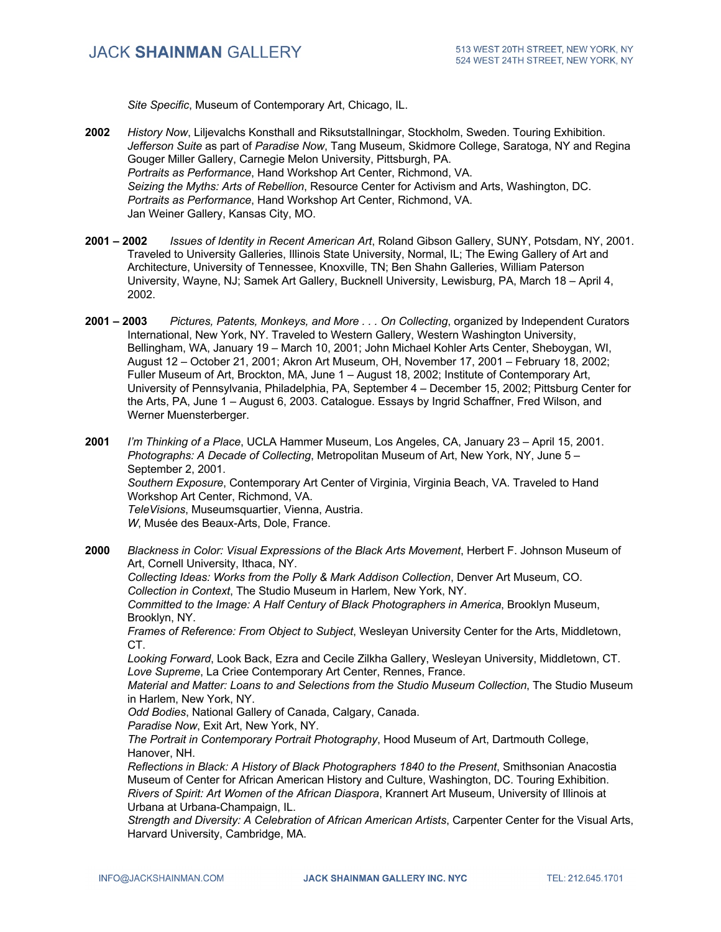*Site Specific*, Museum of Contemporary Art, Chicago, IL.

- **2002** *History Now*, Liljevalchs Konsthall and Riksutstallningar, Stockholm, Sweden. Touring Exhibition. *Jefferson Suite* as part of *Paradise Now*, Tang Museum, Skidmore College, Saratoga, NY and Regina Gouger Miller Gallery, Carnegie Melon University, Pittsburgh, PA. *Portraits as Performance*, Hand Workshop Art Center, Richmond, VA. *Seizing the Myths: Arts of Rebellion*, Resource Center for Activism and Arts, Washington, DC. *Portraits as Performance*, Hand Workshop Art Center, Richmond, VA. Jan Weiner Gallery, Kansas City, MO.
- **2001 – 2002** *Issues of Identity in Recent American Art*, Roland Gibson Gallery, SUNY, Potsdam, NY, 2001. Traveled to University Galleries, Illinois State University, Normal, IL; The Ewing Gallery of Art and Architecture, University of Tennessee, Knoxville, TN; Ben Shahn Galleries, William Paterson University, Wayne, NJ; Samek Art Gallery, Bucknell University, Lewisburg, PA, March 18 – April 4, 2002.
- **2001 – 2003** *Pictures, Patents, Monkeys, and More . . . On Collecting*, organized by Independent Curators International, New York, NY. Traveled to Western Gallery, Western Washington University, Bellingham, WA, January 19 – March 10, 2001; John Michael Kohler Arts Center, Sheboygan, WI, August 12 – October 21, 2001; Akron Art Museum, OH, November 17, 2001 – February 18, 2002; Fuller Museum of Art, Brockton, MA, June 1 – August 18, 2002; Institute of Contemporary Art, University of Pennsylvania, Philadelphia, PA, September 4 – December 15, 2002; Pittsburg Center for the Arts, PA, June 1 – August 6, 2003. Catalogue. Essays by Ingrid Schaffner, Fred Wilson, and Werner Muensterberger.

**2001** *I'm Thinking of a Place*, UCLA Hammer Museum, Los Angeles, CA, January 23 – April 15, 2001. *Photographs: A Decade of Collecting*, Metropolitan Museum of Art, New York, NY, June 5 – September 2, 2001. *Southern Exposure*, Contemporary Art Center of Virginia, Virginia Beach, VA. Traveled to Hand Workshop Art Center, Richmond, VA. *TeleVisions*, Museumsquartier, Vienna, Austria. *W*, Musée des Beaux-Arts, Dole, France.

**2000** *Blackness in Color: Visual Expressions of the Black Arts Movement*, Herbert F. Johnson Museum of Art, Cornell University, Ithaca, NY. *Collecting Ideas: Works from the Polly & Mark Addison Collection*, Denver Art Museum, CO. *Collection in Context*, The Studio Museum in Harlem, New York, NY. *Committed to the Image: A Half Century of Black Photographers in America*, Brooklyn Museum, Brooklyn, NY. *Frames of Reference: From Object to Subject*, Wesleyan University Center for the Arts, Middletown, CT. *Looking Forward*, Look Back, Ezra and Cecile Zilkha Gallery, Wesleyan University, Middletown, CT. *Love Supreme*, La Criee Contemporary Art Center, Rennes, France. *Material and Matter: Loans to and Selections from the Studio Museum Collection*, The Studio Museum in Harlem, New York, NY. *Odd Bodies*, National Gallery of Canada, Calgary, Canada. *Paradise Now*, Exit Art, New York, NY. *The Portrait in Contemporary Portrait Photography*, Hood Museum of Art, Dartmouth College, Hanover, NH. *Reflections in Black: A History of Black Photographers 1840 to the Present*, Smithsonian Anacostia

Museum of Center for African American History and Culture, Washington, DC. Touring Exhibition. *Rivers of Spirit: Art Women of the African Diaspora*, Krannert Art Museum, University of Illinois at Urbana at Urbana-Champaign, IL.

*Strength and Diversity: A Celebration of African American Artists*, Carpenter Center for the Visual Arts, Harvard University, Cambridge, MA.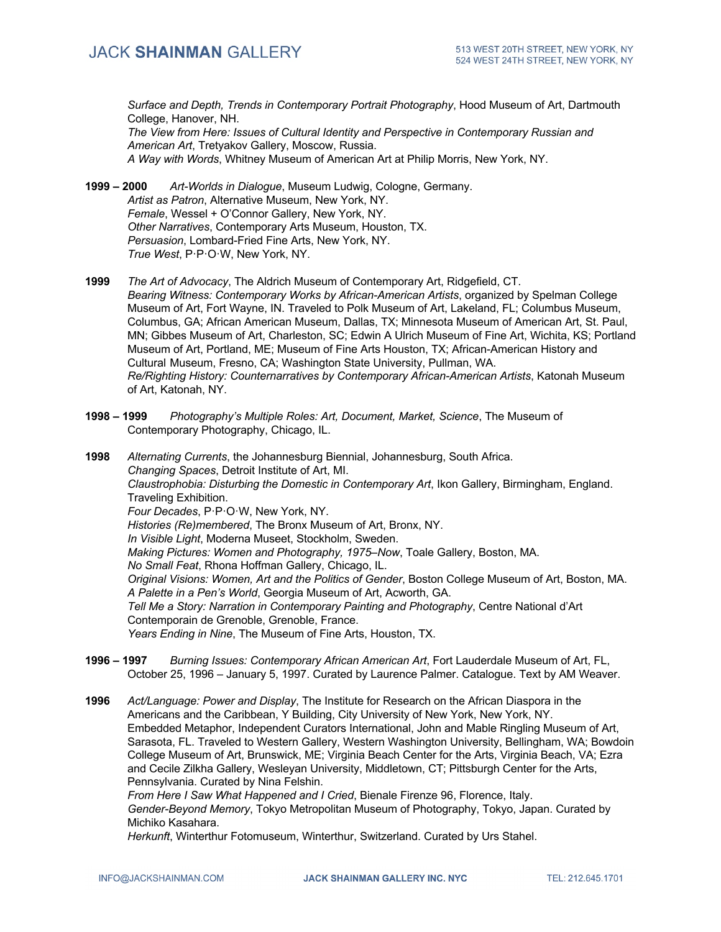*Surface and Depth, Trends in Contemporary Portrait Photography*, Hood Museum of Art, Dartmouth College, Hanover, NH.

*The View from Here: Issues of Cultural Identity and Perspective in Contemporary Russian and American Art*, Tretyakov Gallery, Moscow, Russia. *A Way with Words*, Whitney Museum of American Art at Philip Morris, New York, NY.

**1999 – 2000** *Art-Worlds in Dialogue*, Museum Ludwig, Cologne, Germany. *Artist as Patron*, Alternative Museum, New York, NY. *Female*, Wessel + O'Connor Gallery, New York, NY. *Other Narratives*, Contemporary Arts Museum, Houston, TX. *Persuasion*, Lombard-Fried Fine Arts, New York, NY. *True West*, P·P·O·W, New York, NY.

**1999** *The Art of Advocacy*, The Aldrich Museum of Contemporary Art, Ridgefield, CT. *Bearing Witness: Contemporary Works by African-American Artists*, organized by Spelman College Museum of Art, Fort Wayne, IN. Traveled to Polk Museum of Art, Lakeland, FL; Columbus Museum, Columbus, GA; African American Museum, Dallas, TX; Minnesota Museum of American Art, St. Paul, MN; Gibbes Museum of Art, Charleston, SC; Edwin A Ulrich Museum of Fine Art, Wichita, KS; Portland Museum of Art, Portland, ME; Museum of Fine Arts Houston, TX; African-American History and Cultural Museum, Fresno, CA; Washington State University, Pullman, WA. *Re/Righting History: Counternarratives by Contemporary African-American Artists*, Katonah Museum of Art, Katonah, NY.

**1998 – 1999** *Photography's Multiple Roles: Art, Document, Market, Science*, The Museum of Contemporary Photography, Chicago, IL.

**1998** *Alternating Currents*, the Johannesburg Biennial, Johannesburg, South Africa. *Changing Spaces*, Detroit Institute of Art, MI. *Claustrophobia: Disturbing the Domestic in Contemporary Art*, Ikon Gallery, Birmingham, England. Traveling Exhibition. *Four Decades*, P·P·O·W, New York, NY. *Histories (Re)membered*, The Bronx Museum of Art, Bronx, NY. *In Visible Light*, Moderna Museet, Stockholm, Sweden. *Making Pictures: Women and Photography, 1975–Now*, Toale Gallery, Boston, MA. *No Small Feat*, Rhona Hoffman Gallery, Chicago, IL. *Original Visions: Women, Art and the Politics of Gender*, Boston College Museum of Art, Boston, MA. *A Palette in a Pen's World*, Georgia Museum of Art, Acworth, GA. *Tell Me a Story: Narration in Contemporary Painting and Photography*, Centre National d'Art Contemporain de Grenoble, Grenoble, France. *Years Ending in Nine*, The Museum of Fine Arts, Houston, TX.

**1996 – 1997** *Burning Issues: Contemporary African American Art*, Fort Lauderdale Museum of Art, FL, October 25, 1996 – January 5, 1997. Curated by Laurence Palmer. Catalogue. Text by AM Weaver.

**1996** *Act/Language: Power and Display*, The Institute for Research on the African Diaspora in the Americans and the Caribbean, Y Building, City University of New York, New York, NY. Embedded Metaphor, Independent Curators International, John and Mable Ringling Museum of Art, Sarasota, FL. Traveled to Western Gallery, Western Washington University, Bellingham, WA; Bowdoin College Museum of Art, Brunswick, ME; Virginia Beach Center for the Arts, Virginia Beach, VA; Ezra and Cecile Zilkha Gallery, Wesleyan University, Middletown, CT; Pittsburgh Center for the Arts, Pennsylvania. Curated by Nina Felshin.

*From Here I Saw What Happened and I Cried*, Bienale Firenze 96, Florence, Italy. *Gender-Beyond Memory*, Tokyo Metropolitan Museum of Photography, Tokyo, Japan. Curated by Michiko Kasahara.

*Herkunft*, Winterthur Fotomuseum, Winterthur, Switzerland. Curated by Urs Stahel.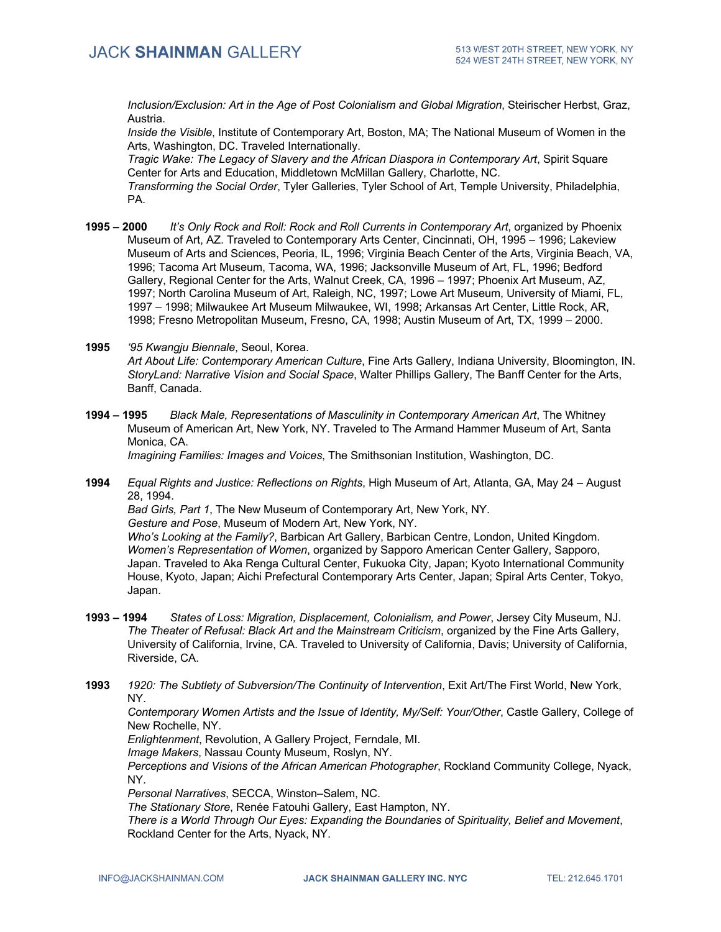*Inclusion/Exclusion: Art in the Age of Post Colonialism and Global Migration*, Steirischer Herbst, Graz, Austria.

*Inside the Visible*, Institute of Contemporary Art, Boston, MA; The National Museum of Women in the Arts, Washington, DC. Traveled Internationally.

*Tragic Wake: The Legacy of Slavery and the African Diaspora in Contemporary Art*, Spirit Square Center for Arts and Education, Middletown McMillan Gallery, Charlotte, NC.

*Transforming the Social Order*, Tyler Galleries, Tyler School of Art, Temple University, Philadelphia, PA.

- **1995 – 2000** *It's Only Rock and Roll: Rock and Roll Currents in Contemporary Art*, organized by Phoenix Museum of Art, AZ. Traveled to Contemporary Arts Center, Cincinnati, OH, 1995 – 1996; Lakeview Museum of Arts and Sciences, Peoria, IL, 1996; Virginia Beach Center of the Arts, Virginia Beach, VA, 1996; Tacoma Art Museum, Tacoma, WA, 1996; Jacksonville Museum of Art, FL, 1996; Bedford Gallery, Regional Center for the Arts, Walnut Creek, CA, 1996 – 1997; Phoenix Art Museum, AZ, 1997; North Carolina Museum of Art, Raleigh, NC, 1997; Lowe Art Museum, University of Miami, FL, 1997 – 1998; Milwaukee Art Museum Milwaukee, WI, 1998; Arkansas Art Center, Little Rock, AR, 1998; Fresno Metropolitan Museum, Fresno, CA, 1998; Austin Museum of Art, TX, 1999 – 2000.
- **1995** *'95 Kwangju Biennale*, Seoul, Korea. *Art About Life: Contemporary American Culture*, Fine Arts Gallery, Indiana University, Bloomington, IN. *StoryLand: Narrative Vision and Social Space*, Walter Phillips Gallery, The Banff Center for the Arts, Banff, Canada.
- **1994 – 1995** *Black Male, Representations of Masculinity in Contemporary American Art*, The Whitney Museum of American Art, New York, NY. Traveled to The Armand Hammer Museum of Art, Santa Monica, CA.

*Imagining Families: Images and Voices*, The Smithsonian Institution, Washington, DC.

**1994** *Equal Rights and Justice: Reflections on Rights*, High Museum of Art, Atlanta, GA, May 24 – August 28, 1994.

*Bad Girls, Part 1*, The New Museum of Contemporary Art, New York, NY.

*Gesture and Pose*, Museum of Modern Art, New York, NY.

*Who's Looking at the Family?*, Barbican Art Gallery, Barbican Centre, London, United Kingdom. *Women's Representation of Women*, organized by Sapporo American Center Gallery, Sapporo, Japan. Traveled to Aka Renga Cultural Center, Fukuoka City, Japan; Kyoto International Community House, Kyoto, Japan; Aichi Prefectural Contemporary Arts Center, Japan; Spiral Arts Center, Tokyo, Japan.

- **1993 – 1994** *States of Loss: Migration, Displacement, Colonialism, and Power*, Jersey City Museum, NJ. *The Theater of Refusal: Black Art and the Mainstream Criticism*, organized by the Fine Arts Gallery, University of California, Irvine, CA. Traveled to University of California, Davis; University of California, Riverside, CA.
- **1993** *1920: The Subtlety of Subversion/The Continuity of Intervention*, Exit Art/The First World, New York, NY.

*Contemporary Women Artists and the Issue of Identity, My/Self: Your/Other*, Castle Gallery, College of New Rochelle, NY.

*Enlightenment*, Revolution, A Gallery Project, Ferndale, MI.

*Image Makers*, Nassau County Museum, Roslyn, NY.

*Perceptions and Visions of the African American Photographer*, Rockland Community College, Nyack, NY.

*Personal Narratives*, SECCA, Winston–Salem, NC.

*The Stationary Store*, Renée Fatouhi Gallery, East Hampton, NY.

*There is a World Through Our Eyes: Expanding the Boundaries of Spirituality, Belief and Movement*, Rockland Center for the Arts, Nyack, NY.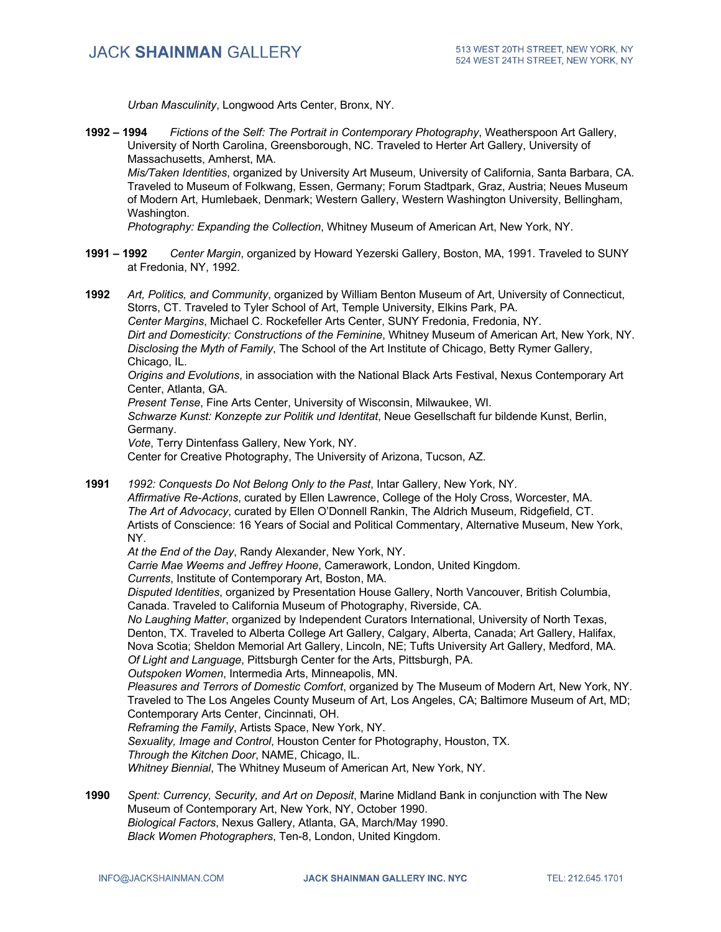*Urban Masculinity*, Longwood Arts Center, Bronx, NY.

**1992 – 1994** *Fictions of the Self: The Portrait in Contemporary Photography*, Weatherspoon Art Gallery, University of North Carolina, Greensborough, NC. Traveled to Herter Art Gallery, University of Massachusetts, Amherst, MA. *Mis/Taken Identities*, organized by University Art Museum, University of California, Santa Barbara, CA.

Traveled to Museum of Folkwang, Essen, Germany; Forum Stadtpark, Graz, Austria; Neues Museum of Modern Art, Humlebaek, Denmark; Western Gallery, Western Washington University, Bellingham, Washington.

*Photography: Expanding the Collection*, Whitney Museum of American Art, New York, NY.

- **1991 – 1992** *Center Margin*, organized by Howard Yezerski Gallery, Boston, MA, 1991. Traveled to SUNY at Fredonia, NY, 1992.
- **1992** *Art, Politics, and Community*, organized by William Benton Museum of Art, University of Connecticut, Storrs, CT. Traveled to Tyler School of Art, Temple University, Elkins Park, PA. *Center Margins*, Michael C. Rockefeller Arts Center, SUNY Fredonia, Fredonia, NY. *Dirt and Domesticity: Constructions of the Feminine*, Whitney Museum of American Art, New York, NY. *Disclosing the Myth of Family*, The School of the Art Institute of Chicago, Betty Rymer Gallery, Chicago, IL. *Origins and Evolutions*, in association with the National Black Arts Festival, Nexus Contemporary Art Center, Atlanta, GA. *Present Tense*, Fine Arts Center, University of Wisconsin, Milwaukee, WI. *Schwarze Kunst: Konzepte zur Politik und Identitat*, Neue Gesellschaft fur bildende Kunst, Berlin, Germany. *Vote*, Terry Dintenfass Gallery, New York, NY. Center for Creative Photography, The University of Arizona, Tucson, AZ.
- **1991** *1992: Conquests Do Not Belong Only to the Past*, Intar Gallery, New York, NY. *Affirmative Re-Actions*, curated by Ellen Lawrence, College of the Holy Cross, Worcester, MA. *The Art of Advocacy*, curated by Ellen O'Donnell Rankin, The Aldrich Museum, Ridgefield, CT. Artists of Conscience: 16 Years of Social and Political Commentary, Alternative Museum, New York, NY.

*At the End of the Day*, Randy Alexander, New York, NY.

*Carrie Mae Weems and Jeffrey Hoone*, Camerawork, London, United Kingdom.

*Currents*, Institute of Contemporary Art, Boston, MA.

*Disputed Identities*, organized by Presentation House Gallery, North Vancouver, British Columbia, Canada. Traveled to California Museum of Photography, Riverside, CA.

*No Laughing Matter*, organized by Independent Curators International, University of North Texas, Denton, TX. Traveled to Alberta College Art Gallery, Calgary, Alberta, Canada; Art Gallery, Halifax, Nova Scotia; Sheldon Memorial Art Gallery, Lincoln, NE; Tufts University Art Gallery, Medford, MA. *Of Light and Language*, Pittsburgh Center for the Arts, Pittsburgh, PA.

*Outspoken Women*, Intermedia Arts, Minneapolis, MN.

*Pleasures and Terrors of Domestic Comfort*, organized by The Museum of Modern Art, New York, NY. Traveled to The Los Angeles County Museum of Art, Los Angeles, CA; Baltimore Museum of Art, MD; Contemporary Arts Center, Cincinnati, OH.

*Reframing the Family*, Artists Space, New York, NY.

*Sexuality, Image and Control*, Houston Center for Photography, Houston, TX.

*Through the Kitchen Door*, NAME, Chicago, IL.

*Whitney Biennial*, The Whitney Museum of American Art, New York, NY.

**1990** *Spent: Currency, Security, and Art on Deposit*, Marine Midland Bank in conjunction with The New Museum of Contemporary Art, New York, NY, October 1990. *Biological Factors*, Nexus Gallery, Atlanta, GA, March/May 1990. *Black Women Photographers*, Ten-8, London, United Kingdom.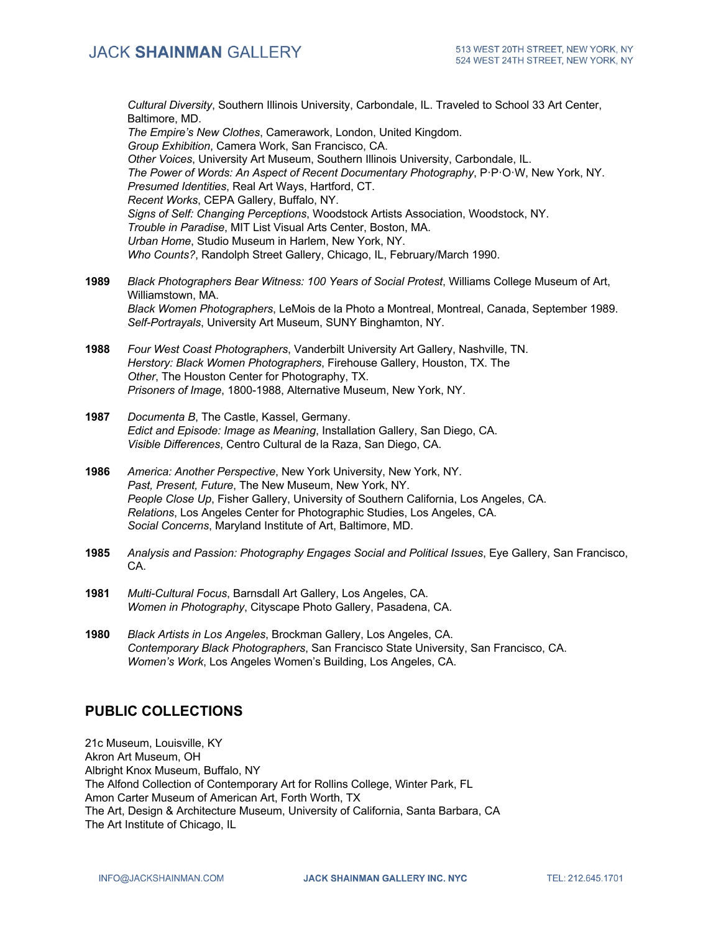*Cultural Diversity*, Southern Illinois University, Carbondale, IL. Traveled to School 33 Art Center, Baltimore, MD. *The Empire's New Clothes*, Camerawork, London, United Kingdom. *Group Exhibition*, Camera Work, San Francisco, CA. *Other Voices*, University Art Museum, Southern Illinois University, Carbondale, IL. *The Power of Words: An Aspect of Recent Documentary Photography*, P·P·O·W, New York, NY.

*Presumed Identities*, Real Art Ways, Hartford, CT.

*Recent Works*, CEPA Gallery, Buffalo, NY.

*Signs of Self: Changing Perceptions*, Woodstock Artists Association, Woodstock, NY. *Trouble in Paradise*, MIT List Visual Arts Center, Boston, MA.

*Urban Home*, Studio Museum in Harlem, New York, NY.

*Who Counts?*, Randolph Street Gallery, Chicago, IL, February/March 1990.

- **1989** *Black Photographers Bear Witness: 100 Years of Social Protest*, Williams College Museum of Art, Williamstown, MA. *Black Women Photographers*, LeMois de la Photo a Montreal, Montreal, Canada, September 1989. *Self-Portrayals*, University Art Museum, SUNY Binghamton, NY.
- **1988** *Four West Coast Photographers*, Vanderbilt University Art Gallery, Nashville, TN. *Herstory: Black Women Photographers*, Firehouse Gallery, Houston, TX. The *Other*, The Houston Center for Photography, TX. *Prisoners of Image*, 1800-1988, Alternative Museum, New York, NY.
- **1987** *Documenta B*, The Castle, Kassel, Germany. *Edict and Episode: Image as Meaning*, Installation Gallery, San Diego, CA. *Visible Differences*, Centro Cultural de la Raza, San Diego, CA.
- **1986** *America: Another Perspective*, New York University, New York, NY. *Past, Present, Future*, The New Museum, New York, NY. *People Close Up*, Fisher Gallery, University of Southern California, Los Angeles, CA. *Relations*, Los Angeles Center for Photographic Studies, Los Angeles, CA. *Social Concerns*, Maryland Institute of Art, Baltimore, MD.
- **1985** *Analysis and Passion: Photography Engages Social and Political Issues*, Eye Gallery, San Francisco, CA.
- **1981** *Multi-Cultural Focus*, Barnsdall Art Gallery, Los Angeles, CA. *Women in Photography*, Cityscape Photo Gallery, Pasadena, CA.
- **1980** *Black Artists in Los Angeles*, Brockman Gallery, Los Angeles, CA. *Contemporary Black Photographers*, San Francisco State University, San Francisco, CA. *Women's Work*, Los Angeles Women's Building, Los Angeles, CA.

## **PUBLIC COLLECTIONS**

21c Museum, Louisville, KY Akron Art Museum, OH Albright Knox Museum, Buffalo, NY The Alfond Collection of Contemporary Art for Rollins College, Winter Park, FL Amon Carter Museum of American Art, Forth Worth, TX The Art, Design & Architecture Museum, University of California, Santa Barbara, CA The Art Institute of Chicago, IL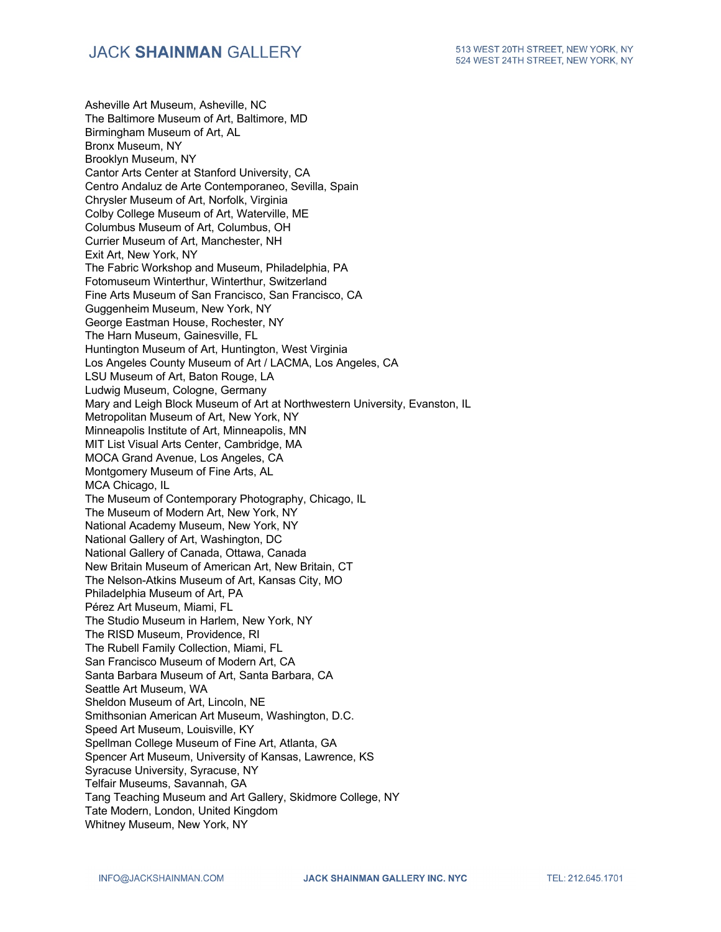Asheville Art Museum, Asheville, NC The Baltimore Museum of Art, Baltimore, MD Birmingham Museum of Art, AL Bronx Museum, NY Brooklyn Museum, NY Cantor Arts Center at Stanford University, CA Centro Andaluz de Arte Contemporaneo, Sevilla, Spain Chrysler Museum of Art, Norfolk, Virginia Colby College Museum of Art, Waterville, ME Columbus Museum of Art, Columbus, OH Currier Museum of Art, Manchester, NH Exit Art, New York, NY The Fabric Workshop and Museum, Philadelphia, PA Fotomuseum Winterthur, Winterthur, Switzerland Fine Arts Museum of San Francisco, San Francisco, CA Guggenheim Museum, New York, NY George Eastman House, Rochester, NY The Harn Museum, Gainesville, FL Huntington Museum of Art, Huntington, West Virginia Los Angeles County Museum of Art / LACMA, Los Angeles, CA LSU Museum of Art, Baton Rouge, LA Ludwig Museum, Cologne, Germany Mary and Leigh Block Museum of Art at Northwestern University, Evanston, IL Metropolitan Museum of Art, New York, NY Minneapolis Institute of Art, Minneapolis, MN MIT List Visual Arts Center, Cambridge, MA MOCA Grand Avenue, Los Angeles, CA Montgomery Museum of Fine Arts, AL MCA Chicago, IL The Museum of Contemporary Photography, Chicago, IL The Museum of Modern Art, New York, NY National Academy Museum, New York, NY National Gallery of Art, Washington, DC National Gallery of Canada, Ottawa, Canada New Britain Museum of American Art, New Britain, CT The Nelson-Atkins Museum of Art, Kansas City, MO Philadelphia Museum of Art, PA Pérez Art Museum, Miami, FL The Studio Museum in Harlem, New York, NY The RISD Museum, Providence, RI The Rubell Family Collection, Miami, FL San Francisco Museum of Modern Art, CA Santa Barbara Museum of Art, Santa Barbara, CA Seattle Art Museum, WA Sheldon Museum of Art, Lincoln, NE Smithsonian American Art Museum, Washington, D.C. Speed Art Museum, Louisville, KY Spellman College Museum of Fine Art, Atlanta, GA Spencer Art Museum, University of Kansas, Lawrence, KS Syracuse University, Syracuse, NY Telfair Museums, Savannah, GA Tang Teaching Museum and Art Gallery, Skidmore College, NY Tate Modern, London, United Kingdom Whitney Museum, New York, NY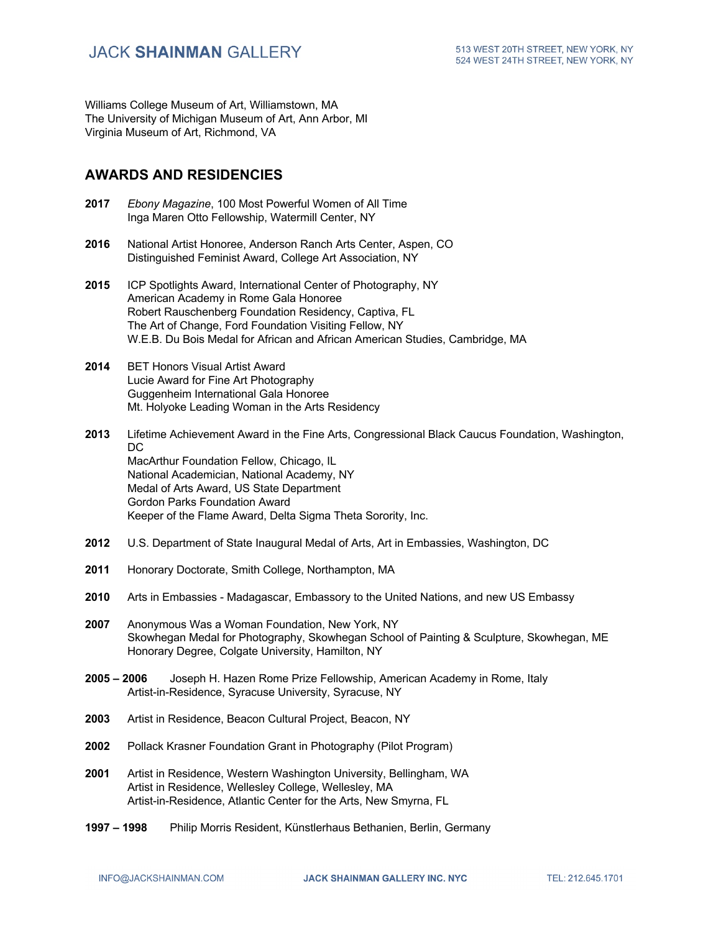Williams College Museum of Art, Williamstown, MA The University of Michigan Museum of Art, Ann Arbor, MI Virginia Museum of Art, Richmond, VA

## **AWARDS AND RESIDENCIES**

- **2017** *Ebony Magazine*, 100 Most Powerful Women of All Time Inga Maren Otto Fellowship, Watermill Center, NY
- **2016** National Artist Honoree, Anderson Ranch Arts Center, Aspen, CO Distinguished Feminist Award, College Art Association, NY
- **2015** ICP Spotlights Award, International Center of Photography, NY American Academy in Rome Gala Honoree Robert Rauschenberg Foundation Residency, Captiva, FL The Art of Change, Ford Foundation Visiting Fellow, NY W.E.B. Du Bois Medal for African and African American Studies, Cambridge, MA
- **2014** BET Honors Visual Artist Award Lucie Award for Fine Art Photography Guggenheim International Gala Honoree Mt. Holyoke Leading Woman in the Arts Residency
- **2013** Lifetime Achievement Award in the Fine Arts, Congressional Black Caucus Foundation, Washington,  $DC$ MacArthur Foundation Fellow, Chicago, IL National Academician, National Academy, NY Medal of Arts Award, US State Department Gordon Parks Foundation Award Keeper of the Flame Award, Delta Sigma Theta Sorority, Inc.
- **2012** U.S. Department of State Inaugural Medal of Arts, Art in Embassies, Washington, DC
- **2011** Honorary Doctorate, Smith College, Northampton, MA
- **2010** Arts in Embassies Madagascar, Embassory to the United Nations, and new US Embassy
- **2007** Anonymous Was a Woman Foundation, New York, NY Skowhegan Medal for Photography, Skowhegan School of Painting & Sculpture, Skowhegan, ME Honorary Degree, Colgate University, Hamilton, NY
- **2005 – 2006** Joseph H. Hazen Rome Prize Fellowship, American Academy in Rome, Italy Artist-in-Residence, Syracuse University, Syracuse, NY
- **2003** Artist in Residence, Beacon Cultural Project, Beacon, NY
- **2002** Pollack Krasner Foundation Grant in Photography (Pilot Program)
- **2001** Artist in Residence, Western Washington University, Bellingham, WA Artist in Residence, Wellesley College, Wellesley, MA Artist-in-Residence, Atlantic Center for the Arts, New Smyrna, FL
- **1997 – 1998** Philip Morris Resident, Künstlerhaus Bethanien, Berlin, Germany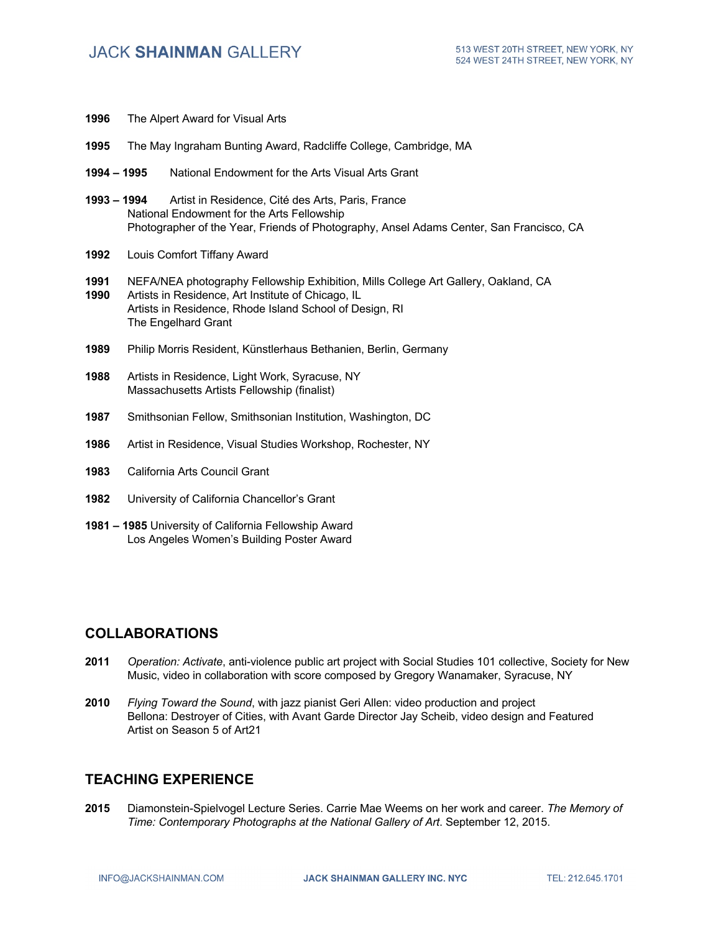- **1996** The Alpert Award for Visual Arts
- **1995** The May Ingraham Bunting Award, Radcliffe College, Cambridge, MA
- **1994 – 1995** National Endowment for the Arts Visual Arts Grant
- **1993 – 1994** Artist in Residence, Cité des Arts, Paris, France National Endowment for the Arts Fellowship Photographer of the Year, Friends of Photography, Ansel Adams Center, San Francisco, CA
- **1992** Louis Comfort Tiffany Award
- **1991** NEFA/NEA photography Fellowship Exhibition, Mills College Art Gallery, Oakland, CA **1990** Artists in Residence, Art Institute of Chicago, IL Artists in Residence, Rhode Island School of Design, RI The Engelhard Grant
- **1989** Philip Morris Resident, Künstlerhaus Bethanien, Berlin, Germany
- **1988** Artists in Residence, Light Work, Syracuse, NY Massachusetts Artists Fellowship (finalist)
- **1987** Smithsonian Fellow, Smithsonian Institution, Washington, DC
- **1986** Artist in Residence, Visual Studies Workshop, Rochester, NY
- **1983** California Arts Council Grant
- **1982** University of California Chancellor's Grant
- **1981 – 1985** University of California Fellowship Award Los Angeles Women's Building Poster Award

#### **COLLABORATIONS**

- **2011** *Operation: Activate*, anti-violence public art project with Social Studies 101 collective, Society for New Music, video in collaboration with score composed by Gregory Wanamaker, Syracuse, NY
- **2010** *Flying Toward the Sound*, with jazz pianist Geri Allen: video production and project Bellona: Destroyer of Cities, with Avant Garde Director Jay Scheib, video design and Featured Artist on Season 5 of Art21

### **TEACHING EXPERIENCE**

**2015** Diamonstein-Spielvogel Lecture Series. Carrie Mae Weems on her work and career. *The Memory of Time: Contemporary Photographs at the National Gallery of Art*. September 12, 2015.